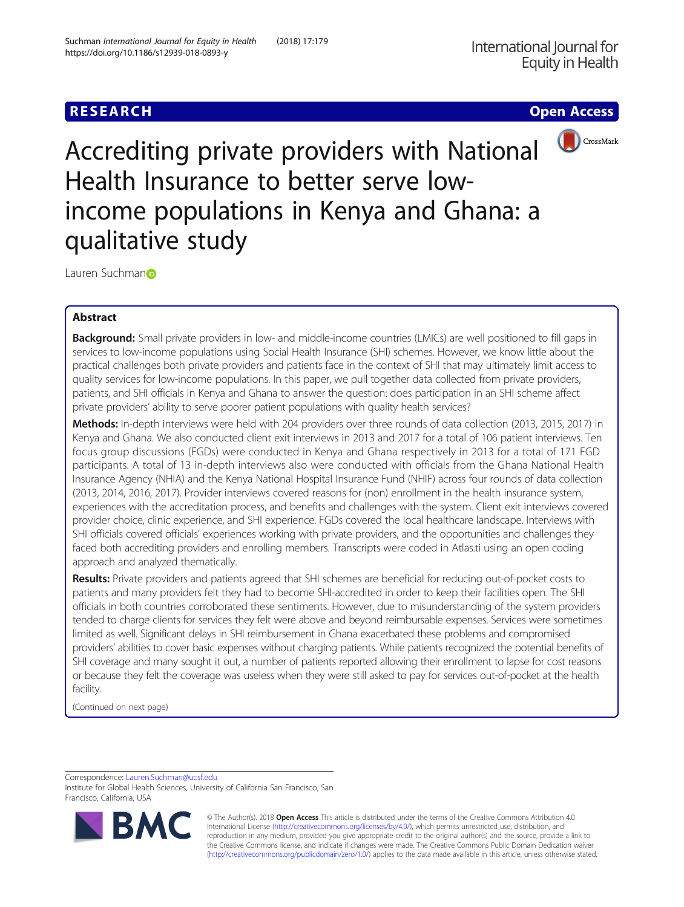# **RESEARCH CHE Open Access**



Accrediting private providers with National Health Insurance to better serve lowincome populations in Kenya and Ghana: a qualitative study

Laure[n](http://orcid.org/0000-0002-3684-0314) Suchman<sub>®</sub>

# Abstract

Background: Small private providers in low- and middle-income countries (LMICs) are well positioned to fill gaps in services to low-income populations using Social Health Insurance (SHI) schemes. However, we know little about the practical challenges both private providers and patients face in the context of SHI that may ultimately limit access to quality services for low-income populations. In this paper, we pull together data collected from private providers, patients, and SHI officials in Kenya and Ghana to answer the question: does participation in an SHI scheme affect private providers' ability to serve poorer patient populations with quality health services?

Methods: In-depth interviews were held with 204 providers over three rounds of data collection (2013, 2015, 2017) in Kenya and Ghana. We also conducted client exit interviews in 2013 and 2017 for a total of 106 patient interviews. Ten focus group discussions (FGDs) were conducted in Kenya and Ghana respectively in 2013 for a total of 171 FGD participants. A total of 13 in-depth interviews also were conducted with officials from the Ghana National Health Insurance Agency (NHIA) and the Kenya National Hospital Insurance Fund (NHIF) across four rounds of data collection (2013, 2014, 2016, 2017). Provider interviews covered reasons for (non) enrollment in the health insurance system, experiences with the accreditation process, and benefits and challenges with the system. Client exit interviews covered provider choice, clinic experience, and SHI experience. FGDs covered the local healthcare landscape. Interviews with SHI officials covered officials' experiences working with private providers, and the opportunities and challenges they faced both accrediting providers and enrolling members. Transcripts were coded in Atlas.ti using an open coding approach and analyzed thematically.

Results: Private providers and patients agreed that SHI schemes are beneficial for reducing out-of-pocket costs to patients and many providers felt they had to become SHI-accredited in order to keep their facilities open. The SHI officials in both countries corroborated these sentiments. However, due to misunderstanding of the system providers tended to charge clients for services they felt were above and beyond reimbursable expenses. Services were sometimes limited as well. Significant delays in SHI reimbursement in Ghana exacerbated these problems and compromised providers' abilities to cover basic expenses without charging patients. While patients recognized the potential benefits of SHI coverage and many sought it out, a number of patients reported allowing their enrollment to lapse for cost reasons or because they felt the coverage was useless when they were still asked to pay for services out-of-pocket at the health facility.

(Continued on next page)

Correspondence: [Lauren.Suchman@ucsf.edu](mailto:Lauren.Suchman@ucsf.edu)

Institute for Global Health Sciences, University of California San Francisco, San Francisco, California, USA



© The Author(s). 2018 Open Access This article is distributed under the terms of the Creative Commons Attribution 4.0 International License [\(http://creativecommons.org/licenses/by/4.0/](http://creativecommons.org/licenses/by/4.0/)), which permits unrestricted use, distribution, and reproduction in any medium, provided you give appropriate credit to the original author(s) and the source, provide a link to the Creative Commons license, and indicate if changes were made. The Creative Commons Public Domain Dedication waiver [\(http://creativecommons.org/publicdomain/zero/1.0/](http://creativecommons.org/publicdomain/zero/1.0/)) applies to the data made available in this article, unless otherwise stated.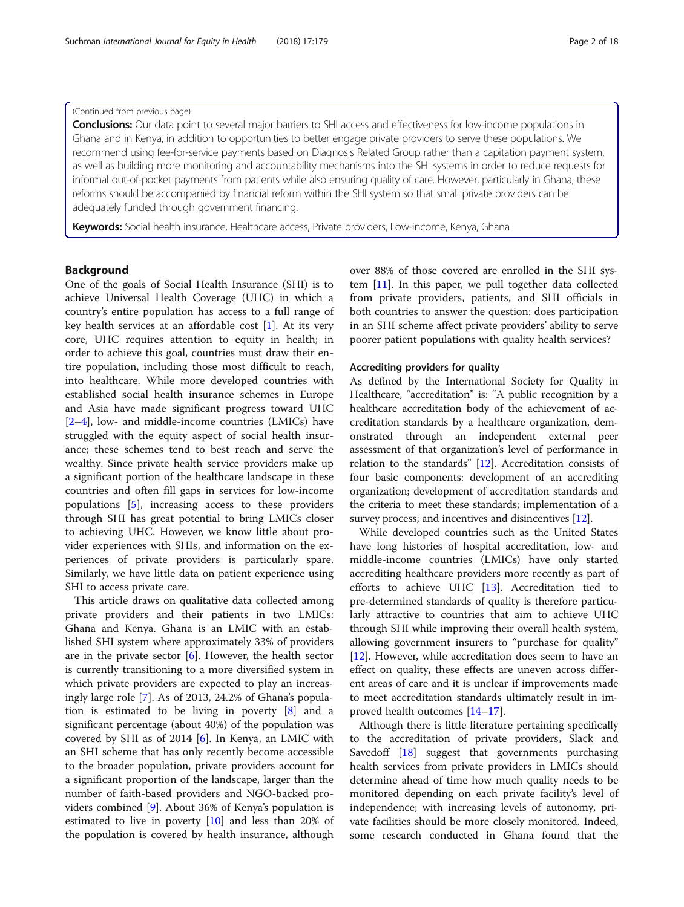### (Continued from previous page)

Conclusions: Our data point to several major barriers to SHI access and effectiveness for low-income populations in Ghana and in Kenya, in addition to opportunities to better engage private providers to serve these populations. We recommend using fee-for-service payments based on Diagnosis Related Group rather than a capitation payment system, as well as building more monitoring and accountability mechanisms into the SHI systems in order to reduce requests for informal out-of-pocket payments from patients while also ensuring quality of care. However, particularly in Ghana, these reforms should be accompanied by financial reform within the SHI system so that small private providers can be adequately funded through government financing.

Keywords: Social health insurance, Healthcare access, Private providers, Low-income, Kenya, Ghana

### Background

One of the goals of Social Health Insurance (SHI) is to achieve Universal Health Coverage (UHC) in which a country's entire population has access to a full range of key health services at an affordable cost [\[1\]](#page-16-0). At its very core, UHC requires attention to equity in health; in order to achieve this goal, countries must draw their entire population, including those most difficult to reach, into healthcare. While more developed countries with established social health insurance schemes in Europe and Asia have made significant progress toward UHC  $[2-4]$  $[2-4]$  $[2-4]$  $[2-4]$ , low- and middle-income countries (LMICs) have struggled with the equity aspect of social health insurance; these schemes tend to best reach and serve the wealthy. Since private health service providers make up a significant portion of the healthcare landscape in these countries and often fill gaps in services for low-income populations [\[5](#page-16-0)], increasing access to these providers through SHI has great potential to bring LMICs closer to achieving UHC. However, we know little about provider experiences with SHIs, and information on the experiences of private providers is particularly spare. Similarly, we have little data on patient experience using SHI to access private care.

This article draws on qualitative data collected among private providers and their patients in two LMICs: Ghana and Kenya. Ghana is an LMIC with an established SHI system where approximately 33% of providers are in the private sector  $[6]$  $[6]$  $[6]$ . However, the health sector is currently transitioning to a more diversified system in which private providers are expected to play an increasingly large role [[7\]](#page-16-0). As of 2013, 24.2% of Ghana's population is estimated to be living in poverty [\[8](#page-16-0)] and a significant percentage (about 40%) of the population was covered by SHI as of 2014 [\[6\]](#page-16-0). In Kenya, an LMIC with an SHI scheme that has only recently become accessible to the broader population, private providers account for a significant proportion of the landscape, larger than the number of faith-based providers and NGO-backed providers combined [[9\]](#page-16-0). About 36% of Kenya's population is estimated to live in poverty [\[10](#page-16-0)] and less than 20% of the population is covered by health insurance, although over 88% of those covered are enrolled in the SHI system [[11\]](#page-16-0). In this paper, we pull together data collected from private providers, patients, and SHI officials in both countries to answer the question: does participation in an SHI scheme affect private providers' ability to serve poorer patient populations with quality health services?

### Accrediting providers for quality

As defined by the International Society for Quality in Healthcare, "accreditation" is: "A public recognition by a healthcare accreditation body of the achievement of accreditation standards by a healthcare organization, demonstrated through an independent external peer assessment of that organization's level of performance in relation to the standards" [[12](#page-16-0)]. Accreditation consists of four basic components: development of an accrediting organization; development of accreditation standards and the criteria to meet these standards; implementation of a survey process; and incentives and disincentives [[12](#page-16-0)].

While developed countries such as the United States have long histories of hospital accreditation, low- and middle-income countries (LMICs) have only started accrediting healthcare providers more recently as part of efforts to achieve UHC [[13\]](#page-16-0). Accreditation tied to pre-determined standards of quality is therefore particularly attractive to countries that aim to achieve UHC through SHI while improving their overall health system, allowing government insurers to "purchase for quality" [[12\]](#page-16-0). However, while accreditation does seem to have an effect on quality, these effects are uneven across different areas of care and it is unclear if improvements made to meet accreditation standards ultimately result in improved health outcomes [\[14](#page-16-0)–[17](#page-16-0)].

Although there is little literature pertaining specifically to the accreditation of private providers, Slack and Savedoff [\[18\]](#page-16-0) suggest that governments purchasing health services from private providers in LMICs should determine ahead of time how much quality needs to be monitored depending on each private facility's level of independence; with increasing levels of autonomy, private facilities should be more closely monitored. Indeed, some research conducted in Ghana found that the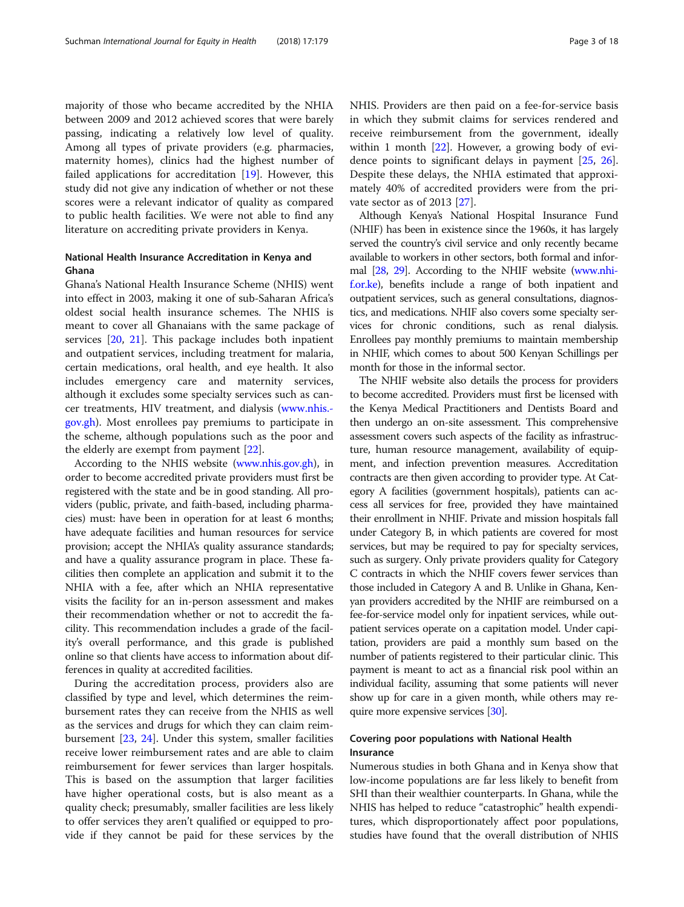majority of those who became accredited by the NHIA between 2009 and 2012 achieved scores that were barely passing, indicating a relatively low level of quality. Among all types of private providers (e.g. pharmacies, maternity homes), clinics had the highest number of failed applications for accreditation [\[19](#page-16-0)]. However, this study did not give any indication of whether or not these scores were a relevant indicator of quality as compared to public health facilities. We were not able to find any literature on accrediting private providers in Kenya.

### National Health Insurance Accreditation in Kenya and Ghana

Ghana's National Health Insurance Scheme (NHIS) went into effect in 2003, making it one of sub-Saharan Africa's oldest social health insurance schemes. The NHIS is meant to cover all Ghanaians with the same package of services [\[20](#page-16-0), [21\]](#page-16-0). This package includes both inpatient and outpatient services, including treatment for malaria, certain medications, oral health, and eye health. It also includes emergency care and maternity services, although it excludes some specialty services such as cancer treatments, HIV treatment, and dialysis [\(www.nhis.](http://www.nhis.gov.gh) [gov.gh](http://www.nhis.gov.gh)). Most enrollees pay premiums to participate in the scheme, although populations such as the poor and the elderly are exempt from payment [\[22](#page-16-0)].

According to the NHIS website ([www.nhis.gov.gh\)](http://www.nhis.gov.gh), in order to become accredited private providers must first be registered with the state and be in good standing. All providers (public, private, and faith-based, including pharmacies) must: have been in operation for at least 6 months; have adequate facilities and human resources for service provision; accept the NHIA's quality assurance standards; and have a quality assurance program in place. These facilities then complete an application and submit it to the NHIA with a fee, after which an NHIA representative visits the facility for an in-person assessment and makes their recommendation whether or not to accredit the facility. This recommendation includes a grade of the facility's overall performance, and this grade is published online so that clients have access to information about differences in quality at accredited facilities.

During the accreditation process, providers also are classified by type and level, which determines the reimbursement rates they can receive from the NHIS as well as the services and drugs for which they can claim reimbursement [\[23,](#page-16-0) [24\]](#page-16-0). Under this system, smaller facilities receive lower reimbursement rates and are able to claim reimbursement for fewer services than larger hospitals. This is based on the assumption that larger facilities have higher operational costs, but is also meant as a quality check; presumably, smaller facilities are less likely to offer services they aren't qualified or equipped to provide if they cannot be paid for these services by the NHIS. Providers are then paid on a fee-for-service basis in which they submit claims for services rendered and receive reimbursement from the government, ideally within 1 month  $[22]$  $[22]$ . However, a growing body of evidence points to significant delays in payment [[25,](#page-16-0) [26](#page-16-0)]. Despite these delays, the NHIA estimated that approximately 40% of accredited providers were from the private sector as of 2013 [[27](#page-16-0)].

Although Kenya's National Hospital Insurance Fund (NHIF) has been in existence since the 1960s, it has largely served the country's civil service and only recently became available to workers in other sectors, both formal and informal [\[28](#page-16-0), [29](#page-16-0)]. According to the NHIF website [\(www.nhi](http://www.nhif.or.ke)[f.or.ke\)](http://www.nhif.or.ke), benefits include a range of both inpatient and outpatient services, such as general consultations, diagnostics, and medications. NHIF also covers some specialty services for chronic conditions, such as renal dialysis. Enrollees pay monthly premiums to maintain membership in NHIF, which comes to about 500 Kenyan Schillings per month for those in the informal sector.

The NHIF website also details the process for providers to become accredited. Providers must first be licensed with the Kenya Medical Practitioners and Dentists Board and then undergo an on-site assessment. This comprehensive assessment covers such aspects of the facility as infrastructure, human resource management, availability of equipment, and infection prevention measures. Accreditation contracts are then given according to provider type. At Category A facilities (government hospitals), patients can access all services for free, provided they have maintained their enrollment in NHIF. Private and mission hospitals fall under Category B, in which patients are covered for most services, but may be required to pay for specialty services, such as surgery. Only private providers quality for Category C contracts in which the NHIF covers fewer services than those included in Category A and B. Unlike in Ghana, Kenyan providers accredited by the NHIF are reimbursed on a fee-for-service model only for inpatient services, while outpatient services operate on a capitation model. Under capitation, providers are paid a monthly sum based on the number of patients registered to their particular clinic. This payment is meant to act as a financial risk pool within an individual facility, assuming that some patients will never show up for care in a given month, while others may require more expensive services [\[30\]](#page-16-0).

### Covering poor populations with National Health Insurance

Numerous studies in both Ghana and in Kenya show that low-income populations are far less likely to benefit from SHI than their wealthier counterparts. In Ghana, while the NHIS has helped to reduce "catastrophic" health expenditures, which disproportionately affect poor populations, studies have found that the overall distribution of NHIS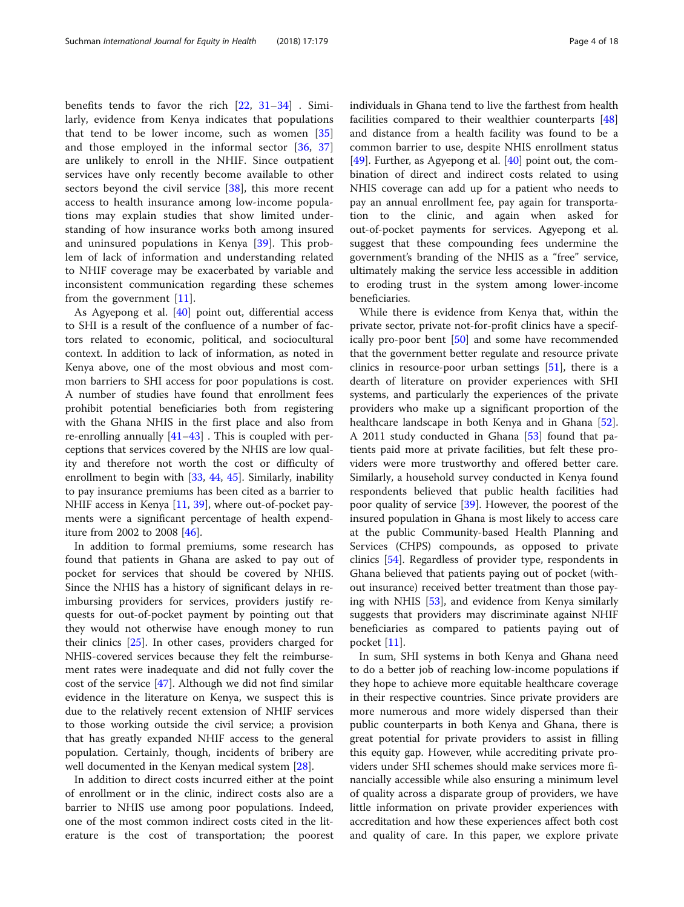benefits tends to favor the rich [[22,](#page-16-0) [31](#page-16-0)–[34](#page-16-0)] . Similarly, evidence from Kenya indicates that populations that tend to be lower income, such as women [\[35](#page-17-0)] and those employed in the informal sector [\[36](#page-17-0), [37](#page-17-0)] are unlikely to enroll in the NHIF. Since outpatient services have only recently become available to other sectors beyond the civil service [\[38](#page-17-0)], this more recent access to health insurance among low-income populations may explain studies that show limited understanding of how insurance works both among insured and uninsured populations in Kenya [[39\]](#page-17-0). This problem of lack of information and understanding related to NHIF coverage may be exacerbated by variable and inconsistent communication regarding these schemes from the government [[11\]](#page-16-0).

As Agyepong et al. [[40](#page-17-0)] point out, differential access to SHI is a result of the confluence of a number of factors related to economic, political, and sociocultural context. In addition to lack of information, as noted in Kenya above, one of the most obvious and most common barriers to SHI access for poor populations is cost. A number of studies have found that enrollment fees prohibit potential beneficiaries both from registering with the Ghana NHIS in the first place and also from re-enrolling annually [[41](#page-17-0)–[43](#page-17-0)] . This is coupled with perceptions that services covered by the NHIS are low quality and therefore not worth the cost or difficulty of enrollment to begin with [[33,](#page-16-0) [44](#page-17-0), [45\]](#page-17-0). Similarly, inability to pay insurance premiums has been cited as a barrier to NHIF access in Kenya [\[11](#page-16-0), [39](#page-17-0)], where out-of-pocket payments were a significant percentage of health expenditure from 2002 to 2008 [\[46\]](#page-17-0).

In addition to formal premiums, some research has found that patients in Ghana are asked to pay out of pocket for services that should be covered by NHIS. Since the NHIS has a history of significant delays in reimbursing providers for services, providers justify requests for out-of-pocket payment by pointing out that they would not otherwise have enough money to run their clinics [\[25](#page-16-0)]. In other cases, providers charged for NHIS-covered services because they felt the reimbursement rates were inadequate and did not fully cover the cost of the service [\[47](#page-17-0)]. Although we did not find similar evidence in the literature on Kenya, we suspect this is due to the relatively recent extension of NHIF services to those working outside the civil service; a provision that has greatly expanded NHIF access to the general population. Certainly, though, incidents of bribery are well documented in the Kenyan medical system [\[28](#page-16-0)].

In addition to direct costs incurred either at the point of enrollment or in the clinic, indirect costs also are a barrier to NHIS use among poor populations. Indeed, one of the most common indirect costs cited in the literature is the cost of transportation; the poorest individuals in Ghana tend to live the farthest from health facilities compared to their wealthier counterparts [[48](#page-17-0)] and distance from a health facility was found to be a common barrier to use, despite NHIS enrollment status [[49\]](#page-17-0). Further, as Agyepong et al. [\[40\]](#page-17-0) point out, the combination of direct and indirect costs related to using NHIS coverage can add up for a patient who needs to pay an annual enrollment fee, pay again for transportation to the clinic, and again when asked for out-of-pocket payments for services. Agyepong et al. suggest that these compounding fees undermine the government's branding of the NHIS as a "free" service, ultimately making the service less accessible in addition to eroding trust in the system among lower-income beneficiaries.

While there is evidence from Kenya that, within the private sector, private not-for-profit clinics have a specifically pro-poor bent [[50\]](#page-17-0) and some have recommended that the government better regulate and resource private clinics in resource-poor urban settings [[51](#page-17-0)], there is a dearth of literature on provider experiences with SHI systems, and particularly the experiences of the private providers who make up a significant proportion of the healthcare landscape in both Kenya and in Ghana [\[52](#page-17-0)]. A 2011 study conducted in Ghana [[53](#page-17-0)] found that patients paid more at private facilities, but felt these providers were more trustworthy and offered better care. Similarly, a household survey conducted in Kenya found respondents believed that public health facilities had poor quality of service [\[39](#page-17-0)]. However, the poorest of the insured population in Ghana is most likely to access care at the public Community-based Health Planning and Services (CHPS) compounds, as opposed to private clinics [\[54](#page-17-0)]. Regardless of provider type, respondents in Ghana believed that patients paying out of pocket (without insurance) received better treatment than those paying with NHIS [[53](#page-17-0)], and evidence from Kenya similarly suggests that providers may discriminate against NHIF beneficiaries as compared to patients paying out of pocket [\[11\]](#page-16-0).

In sum, SHI systems in both Kenya and Ghana need to do a better job of reaching low-income populations if they hope to achieve more equitable healthcare coverage in their respective countries. Since private providers are more numerous and more widely dispersed than their public counterparts in both Kenya and Ghana, there is great potential for private providers to assist in filling this equity gap. However, while accrediting private providers under SHI schemes should make services more financially accessible while also ensuring a minimum level of quality across a disparate group of providers, we have little information on private provider experiences with accreditation and how these experiences affect both cost and quality of care. In this paper, we explore private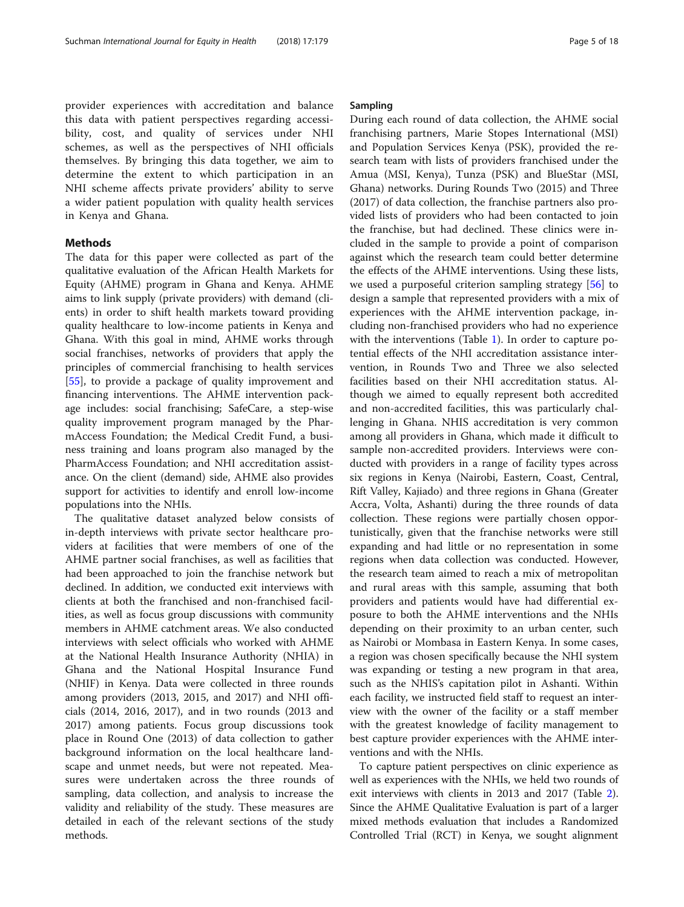provider experiences with accreditation and balance this data with patient perspectives regarding accessibility, cost, and quality of services under NHI schemes, as well as the perspectives of NHI officials themselves. By bringing this data together, we aim to determine the extent to which participation in an NHI scheme affects private providers' ability to serve a wider patient population with quality health services in Kenya and Ghana.

### Methods

The data for this paper were collected as part of the qualitative evaluation of the African Health Markets for Equity (AHME) program in Ghana and Kenya. AHME aims to link supply (private providers) with demand (clients) in order to shift health markets toward providing quality healthcare to low-income patients in Kenya and Ghana. With this goal in mind, AHME works through social franchises, networks of providers that apply the principles of commercial franchising to health services [[55\]](#page-17-0), to provide a package of quality improvement and financing interventions. The AHME intervention package includes: social franchising; SafeCare, a step-wise quality improvement program managed by the PharmAccess Foundation; the Medical Credit Fund, a business training and loans program also managed by the PharmAccess Foundation; and NHI accreditation assistance. On the client (demand) side, AHME also provides support for activities to identify and enroll low-income populations into the NHIs.

The qualitative dataset analyzed below consists of in-depth interviews with private sector healthcare providers at facilities that were members of one of the AHME partner social franchises, as well as facilities that had been approached to join the franchise network but declined. In addition, we conducted exit interviews with clients at both the franchised and non-franchised facilities, as well as focus group discussions with community members in AHME catchment areas. We also conducted interviews with select officials who worked with AHME at the National Health Insurance Authority (NHIA) in Ghana and the National Hospital Insurance Fund (NHIF) in Kenya. Data were collected in three rounds among providers (2013, 2015, and 2017) and NHI officials (2014, 2016, 2017), and in two rounds (2013 and 2017) among patients. Focus group discussions took place in Round One (2013) of data collection to gather background information on the local healthcare landscape and unmet needs, but were not repeated. Measures were undertaken across the three rounds of sampling, data collection, and analysis to increase the validity and reliability of the study. These measures are detailed in each of the relevant sections of the study methods.

### Sampling

During each round of data collection, the AHME social franchising partners, Marie Stopes International (MSI) and Population Services Kenya (PSK), provided the research team with lists of providers franchised under the Amua (MSI, Kenya), Tunza (PSK) and BlueStar (MSI, Ghana) networks. During Rounds Two (2015) and Three (2017) of data collection, the franchise partners also provided lists of providers who had been contacted to join the franchise, but had declined. These clinics were included in the sample to provide a point of comparison against which the research team could better determine the effects of the AHME interventions. Using these lists, we used a purposeful criterion sampling strategy [[56\]](#page-17-0) to design a sample that represented providers with a mix of experiences with the AHME intervention package, including non-franchised providers who had no experience with the interventions (Table [1](#page-5-0)). In order to capture potential effects of the NHI accreditation assistance intervention, in Rounds Two and Three we also selected facilities based on their NHI accreditation status. Although we aimed to equally represent both accredited and non-accredited facilities, this was particularly challenging in Ghana. NHIS accreditation is very common among all providers in Ghana, which made it difficult to sample non-accredited providers. Interviews were conducted with providers in a range of facility types across six regions in Kenya (Nairobi, Eastern, Coast, Central, Rift Valley, Kajiado) and three regions in Ghana (Greater Accra, Volta, Ashanti) during the three rounds of data collection. These regions were partially chosen opportunistically, given that the franchise networks were still expanding and had little or no representation in some regions when data collection was conducted. However, the research team aimed to reach a mix of metropolitan and rural areas with this sample, assuming that both providers and patients would have had differential exposure to both the AHME interventions and the NHIs depending on their proximity to an urban center, such as Nairobi or Mombasa in Eastern Kenya. In some cases, a region was chosen specifically because the NHI system was expanding or testing a new program in that area, such as the NHIS's capitation pilot in Ashanti. Within each facility, we instructed field staff to request an interview with the owner of the facility or a staff member with the greatest knowledge of facility management to best capture provider experiences with the AHME interventions and with the NHIs.

To capture patient perspectives on clinic experience as well as experiences with the NHIs, we held two rounds of exit interviews with clients in 2013 and 2017 (Table [2](#page-5-0)). Since the AHME Qualitative Evaluation is part of a larger mixed methods evaluation that includes a Randomized Controlled Trial (RCT) in Kenya, we sought alignment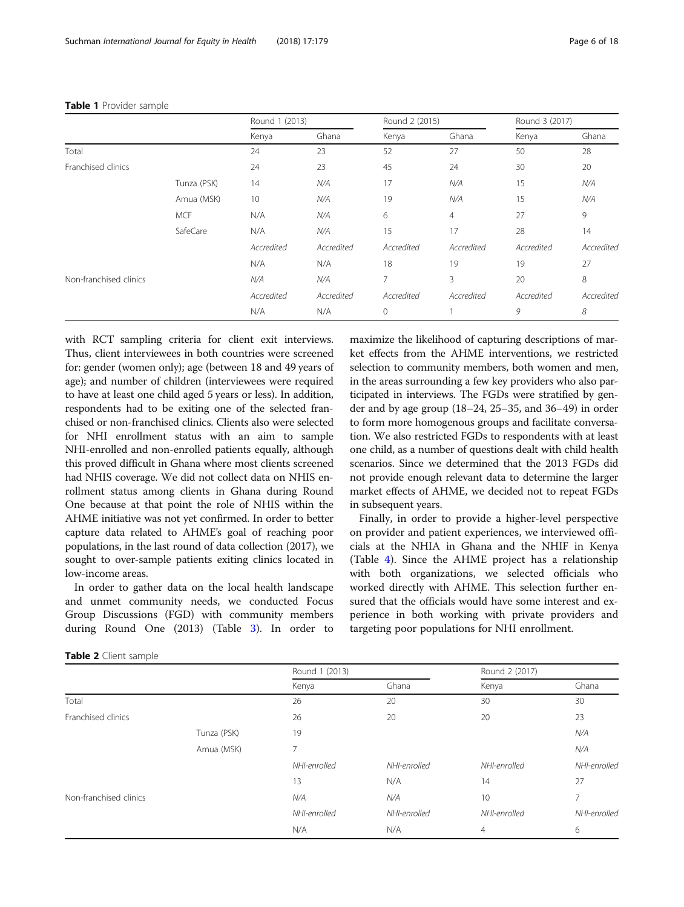|                        |             | Round 1 (2013) |            | Round 2 (2015) |                | Round 3 (2017) |            |
|------------------------|-------------|----------------|------------|----------------|----------------|----------------|------------|
|                        |             | Kenya          | Ghana      | Kenya          | Ghana          | Kenya          | Ghana      |
| Total                  |             | 24             | 23         | 52             | 27             | 50             | 28         |
| Franchised clinics     |             | 24             | 23         | 45             | 24             | 30             | 20         |
|                        | Tunza (PSK) | 14             | N/A        | 17             | N/A            | 15             | N/A        |
|                        | Amua (MSK)  | 10             | N/A        | 19             | N/A            | 15             | N/A        |
|                        | <b>MCF</b>  | N/A            | N/A        | 6              | $\overline{4}$ | 27             | 9          |
|                        | SafeCare    | N/A            | N/A        | 15             | 17             | 28             | 14         |
|                        |             | Accredited     | Accredited | Accredited     | Accredited     | Accredited     | Accredited |
|                        |             | N/A            | N/A        | 18             | 19             | 19             | 27         |
| Non-franchised clinics |             | N/A            | N/A        | 7              | 3              | 20             | 8          |
|                        |             | Accredited     | Accredited | Accredited     | Accredited     | Accredited     | Accredited |
|                        |             | N/A            | N/A        | 0              |                | 9              | 8          |

#### <span id="page-5-0"></span>Table 1 Provider sample

with RCT sampling criteria for client exit interviews. Thus, client interviewees in both countries were screened for: gender (women only); age (between 18 and 49 years of age); and number of children (interviewees were required to have at least one child aged 5 years or less). In addition, respondents had to be exiting one of the selected franchised or non-franchised clinics. Clients also were selected for NHI enrollment status with an aim to sample NHI-enrolled and non-enrolled patients equally, although this proved difficult in Ghana where most clients screened had NHIS coverage. We did not collect data on NHIS enrollment status among clients in Ghana during Round One because at that point the role of NHIS within the AHME initiative was not yet confirmed. In order to better capture data related to AHME's goal of reaching poor populations, in the last round of data collection (2017), we sought to over-sample patients exiting clinics located in low-income areas.

In order to gather data on the local health landscape and unmet community needs, we conducted Focus Group Discussions (FGD) with community members during Round One (2013) (Table [3](#page-6-0)). In order to maximize the likelihood of capturing descriptions of market effects from the AHME interventions, we restricted selection to community members, both women and men, in the areas surrounding a few key providers who also participated in interviews. The FGDs were stratified by gender and by age group (18–24, 25–35, and 36–49) in order to form more homogenous groups and facilitate conversation. We also restricted FGDs to respondents with at least one child, as a number of questions dealt with child health scenarios. Since we determined that the 2013 FGDs did not provide enough relevant data to determine the larger market effects of AHME, we decided not to repeat FGDs in subsequent years.

Finally, in order to provide a higher-level perspective on provider and patient experiences, we interviewed officials at the NHIA in Ghana and the NHIF in Kenya (Table [4\)](#page-6-0). Since the AHME project has a relationship with both organizations, we selected officials who worked directly with AHME. This selection further ensured that the officials would have some interest and experience in both working with private providers and targeting poor populations for NHI enrollment.

| Table 2 Client sample |  |  |  |  |
|-----------------------|--|--|--|--|
|-----------------------|--|--|--|--|

|                        |             | Round 1 (2013) |              | Round 2 (2017) |              |
|------------------------|-------------|----------------|--------------|----------------|--------------|
|                        |             | Kenya          | Ghana        | Kenya          | Ghana        |
| Total                  |             | 26             | 20           | 30             | 30           |
| Franchised clinics     |             | 26             | 20           | 20             | 23           |
|                        | Tunza (PSK) | 19             |              |                | N/A          |
|                        | Amua (MSK)  | 7              |              |                | N/A          |
|                        |             | NHI-enrolled   | NHI-enrolled | NHI-enrolled   | NHI-enrolled |
|                        |             | 13             | N/A          | 14             | 27           |
| Non-franchised clinics |             | N/A            | N/A          | 10             | 7            |
|                        |             | NHI-enrolled   | NHI-enrolled | NHI-enrolled   | NHI-enrolled |
|                        |             | N/A            | N/A          | $\overline{4}$ | 6            |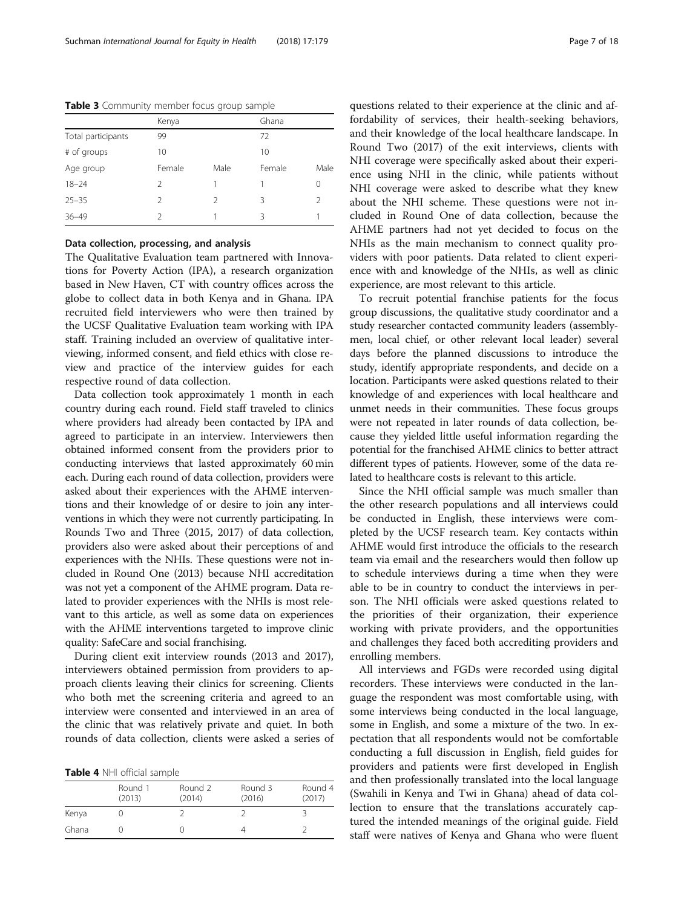<span id="page-6-0"></span>Table 3 Community member focus group sample

|                    | Kenya         |               | Ghana  |                  |
|--------------------|---------------|---------------|--------|------------------|
| Total participants | 99            |               | 72     |                  |
| # of groups        | 10            |               | 10     |                  |
| Age group          | Female        | Male          | Female | Male             |
| $18 - 24$          | 2             |               |        | $\left( \right)$ |
| $25 - 35$          | $\mathcal{P}$ | $\mathcal{P}$ | Κ      | $\mathcal{P}$    |
| $36 - 49$          | っ             |               | Κ      |                  |

### Data collection, processing, and analysis

The Qualitative Evaluation team partnered with Innovations for Poverty Action (IPA), a research organization based in New Haven, CT with country offices across the globe to collect data in both Kenya and in Ghana. IPA recruited field interviewers who were then trained by the UCSF Qualitative Evaluation team working with IPA staff. Training included an overview of qualitative interviewing, informed consent, and field ethics with close review and practice of the interview guides for each respective round of data collection.

Data collection took approximately 1 month in each country during each round. Field staff traveled to clinics where providers had already been contacted by IPA and agreed to participate in an interview. Interviewers then obtained informed consent from the providers prior to conducting interviews that lasted approximately 60 min each. During each round of data collection, providers were asked about their experiences with the AHME interventions and their knowledge of or desire to join any interventions in which they were not currently participating. In Rounds Two and Three (2015, 2017) of data collection, providers also were asked about their perceptions of and experiences with the NHIs. These questions were not included in Round One (2013) because NHI accreditation was not yet a component of the AHME program. Data related to provider experiences with the NHIs is most relevant to this article, as well as some data on experiences with the AHME interventions targeted to improve clinic quality: SafeCare and social franchising.

During client exit interview rounds (2013 and 2017), interviewers obtained permission from providers to approach clients leaving their clinics for screening. Clients who both met the screening criteria and agreed to an interview were consented and interviewed in an area of the clinic that was relatively private and quiet. In both rounds of data collection, clients were asked a series of

| Table 4 NHI official sample |  |  |  |  |
|-----------------------------|--|--|--|--|
|-----------------------------|--|--|--|--|

|       | Round 1<br>(2013) | Round 2<br>(2014) | Round 3<br>(2016) | Round 4<br>(2017) |
|-------|-------------------|-------------------|-------------------|-------------------|
| Kenya |                   |                   |                   |                   |
| Ghana |                   |                   |                   |                   |

questions related to their experience at the clinic and affordability of services, their health-seeking behaviors, and their knowledge of the local healthcare landscape. In Round Two (2017) of the exit interviews, clients with NHI coverage were specifically asked about their experience using NHI in the clinic, while patients without NHI coverage were asked to describe what they knew about the NHI scheme. These questions were not included in Round One of data collection, because the AHME partners had not yet decided to focus on the NHIs as the main mechanism to connect quality providers with poor patients. Data related to client experience with and knowledge of the NHIs, as well as clinic experience, are most relevant to this article.

To recruit potential franchise patients for the focus group discussions, the qualitative study coordinator and a study researcher contacted community leaders (assemblymen, local chief, or other relevant local leader) several days before the planned discussions to introduce the study, identify appropriate respondents, and decide on a location. Participants were asked questions related to their knowledge of and experiences with local healthcare and unmet needs in their communities. These focus groups were not repeated in later rounds of data collection, because they yielded little useful information regarding the potential for the franchised AHME clinics to better attract different types of patients. However, some of the data related to healthcare costs is relevant to this article.

Since the NHI official sample was much smaller than the other research populations and all interviews could be conducted in English, these interviews were completed by the UCSF research team. Key contacts within AHME would first introduce the officials to the research team via email and the researchers would then follow up to schedule interviews during a time when they were able to be in country to conduct the interviews in person. The NHI officials were asked questions related to the priorities of their organization, their experience working with private providers, and the opportunities and challenges they faced both accrediting providers and enrolling members.

All interviews and FGDs were recorded using digital recorders. These interviews were conducted in the language the respondent was most comfortable using, with some interviews being conducted in the local language, some in English, and some a mixture of the two. In expectation that all respondents would not be comfortable conducting a full discussion in English, field guides for providers and patients were first developed in English and then professionally translated into the local language (Swahili in Kenya and Twi in Ghana) ahead of data collection to ensure that the translations accurately captured the intended meanings of the original guide. Field staff were natives of Kenya and Ghana who were fluent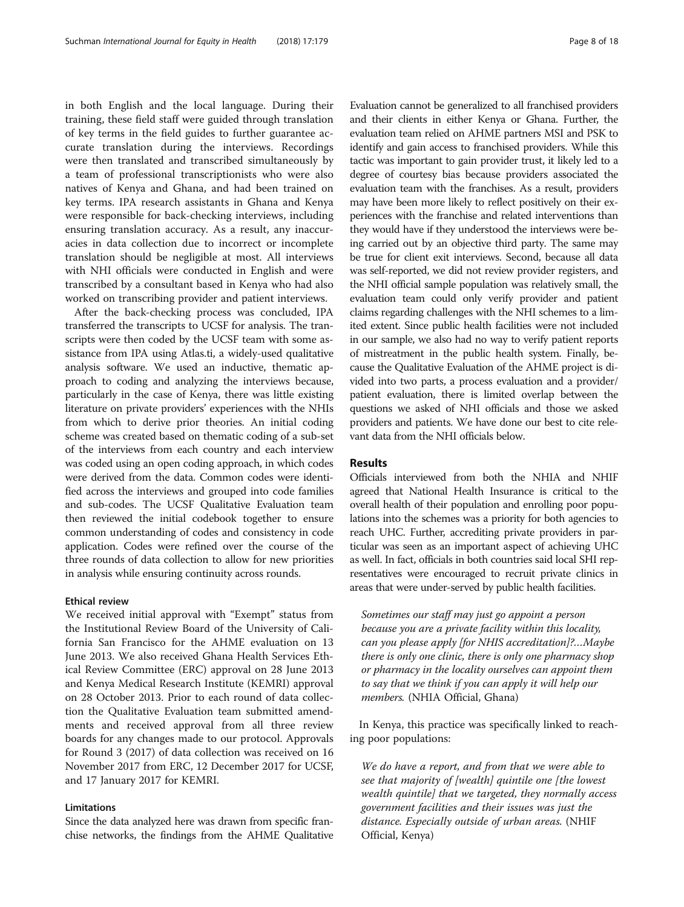in both English and the local language. During their training, these field staff were guided through translation of key terms in the field guides to further guarantee accurate translation during the interviews. Recordings were then translated and transcribed simultaneously by a team of professional transcriptionists who were also natives of Kenya and Ghana, and had been trained on key terms. IPA research assistants in Ghana and Kenya were responsible for back-checking interviews, including ensuring translation accuracy. As a result, any inaccuracies in data collection due to incorrect or incomplete translation should be negligible at most. All interviews with NHI officials were conducted in English and were transcribed by a consultant based in Kenya who had also worked on transcribing provider and patient interviews.

After the back-checking process was concluded, IPA transferred the transcripts to UCSF for analysis. The transcripts were then coded by the UCSF team with some assistance from IPA using Atlas.ti, a widely-used qualitative analysis software. We used an inductive, thematic approach to coding and analyzing the interviews because, particularly in the case of Kenya, there was little existing literature on private providers' experiences with the NHIs from which to derive prior theories. An initial coding scheme was created based on thematic coding of a sub-set of the interviews from each country and each interview was coded using an open coding approach, in which codes were derived from the data. Common codes were identified across the interviews and grouped into code families and sub-codes. The UCSF Qualitative Evaluation team then reviewed the initial codebook together to ensure common understanding of codes and consistency in code application. Codes were refined over the course of the three rounds of data collection to allow for new priorities in analysis while ensuring continuity across rounds.

#### Ethical review

We received initial approval with "Exempt" status from the Institutional Review Board of the University of California San Francisco for the AHME evaluation on 13 June 2013. We also received Ghana Health Services Ethical Review Committee (ERC) approval on 28 June 2013 and Kenya Medical Research Institute (KEMRI) approval on 28 October 2013. Prior to each round of data collection the Qualitative Evaluation team submitted amendments and received approval from all three review boards for any changes made to our protocol. Approvals for Round 3 (2017) of data collection was received on 16 November 2017 from ERC, 12 December 2017 for UCSF, and 17 January 2017 for KEMRI.

### Limitations

Since the data analyzed here was drawn from specific franchise networks, the findings from the AHME Qualitative Evaluation cannot be generalized to all franchised providers and their clients in either Kenya or Ghana. Further, the evaluation team relied on AHME partners MSI and PSK to identify and gain access to franchised providers. While this tactic was important to gain provider trust, it likely led to a degree of courtesy bias because providers associated the evaluation team with the franchises. As a result, providers may have been more likely to reflect positively on their experiences with the franchise and related interventions than they would have if they understood the interviews were being carried out by an objective third party. The same may be true for client exit interviews. Second, because all data was self-reported, we did not review provider registers, and the NHI official sample population was relatively small, the evaluation team could only verify provider and patient claims regarding challenges with the NHI schemes to a limited extent. Since public health facilities were not included in our sample, we also had no way to verify patient reports of mistreatment in the public health system. Finally, because the Qualitative Evaluation of the AHME project is divided into two parts, a process evaluation and a provider/ patient evaluation, there is limited overlap between the questions we asked of NHI officials and those we asked providers and patients. We have done our best to cite relevant data from the NHI officials below.

### Results

Officials interviewed from both the NHIA and NHIF agreed that National Health Insurance is critical to the overall health of their population and enrolling poor populations into the schemes was a priority for both agencies to reach UHC. Further, accrediting private providers in particular was seen as an important aspect of achieving UHC as well. In fact, officials in both countries said local SHI representatives were encouraged to recruit private clinics in areas that were under-served by public health facilities.

Sometimes our staff may just go appoint a person because you are a private facility within this locality, can you please apply [for NHIS accreditation]?…Maybe there is only one clinic, there is only one pharmacy shop or pharmacy in the locality ourselves can appoint them to say that we think if you can apply it will help our members. (NHIA Official, Ghana)

In Kenya, this practice was specifically linked to reaching poor populations:

We do have a report, and from that we were able to see that majority of [wealth] quintile one [the lowest wealth quintile] that we targeted, they normally access government facilities and their issues was just the distance. Especially outside of urban areas. (NHIF Official, Kenya)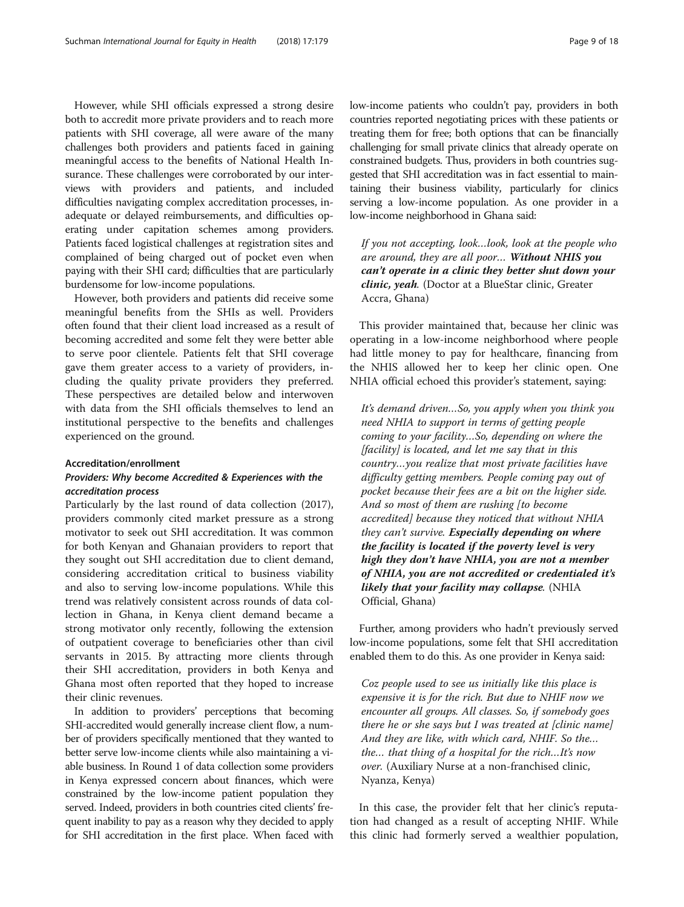However, while SHI officials expressed a strong desire both to accredit more private providers and to reach more patients with SHI coverage, all were aware of the many challenges both providers and patients faced in gaining meaningful access to the benefits of National Health Insurance. These challenges were corroborated by our interviews with providers and patients, and included difficulties navigating complex accreditation processes, inadequate or delayed reimbursements, and difficulties operating under capitation schemes among providers. Patients faced logistical challenges at registration sites and complained of being charged out of pocket even when paying with their SHI card; difficulties that are particularly burdensome for low-income populations.

However, both providers and patients did receive some meaningful benefits from the SHIs as well. Providers often found that their client load increased as a result of becoming accredited and some felt they were better able to serve poor clientele. Patients felt that SHI coverage gave them greater access to a variety of providers, including the quality private providers they preferred. These perspectives are detailed below and interwoven with data from the SHI officials themselves to lend an institutional perspective to the benefits and challenges experienced on the ground.

### Accreditation/enrollment

### Providers: Why become Accredited & Experiences with the accreditation process

Particularly by the last round of data collection (2017), providers commonly cited market pressure as a strong motivator to seek out SHI accreditation. It was common for both Kenyan and Ghanaian providers to report that they sought out SHI accreditation due to client demand, considering accreditation critical to business viability and also to serving low-income populations. While this trend was relatively consistent across rounds of data collection in Ghana, in Kenya client demand became a strong motivator only recently, following the extension of outpatient coverage to beneficiaries other than civil servants in 2015. By attracting more clients through their SHI accreditation, providers in both Kenya and Ghana most often reported that they hoped to increase their clinic revenues.

In addition to providers' perceptions that becoming SHI-accredited would generally increase client flow, a number of providers specifically mentioned that they wanted to better serve low-income clients while also maintaining a viable business. In Round 1 of data collection some providers in Kenya expressed concern about finances, which were constrained by the low-income patient population they served. Indeed, providers in both countries cited clients' frequent inability to pay as a reason why they decided to apply for SHI accreditation in the first place. When faced with low-income patients who couldn't pay, providers in both countries reported negotiating prices with these patients or treating them for free; both options that can be financially challenging for small private clinics that already operate on constrained budgets. Thus, providers in both countries suggested that SHI accreditation was in fact essential to maintaining their business viability, particularly for clinics serving a low-income population. As one provider in a low-income neighborhood in Ghana said:

If you not accepting, look…look, look at the people who are around, they are all poor... Without NHIS you can't operate in a clinic they better shut down your clinic, yeah. (Doctor at a BlueStar clinic, Greater Accra, Ghana)

This provider maintained that, because her clinic was operating in a low-income neighborhood where people had little money to pay for healthcare, financing from the NHIS allowed her to keep her clinic open. One NHIA official echoed this provider's statement, saying:

It's demand driven…So, you apply when you think you need NHIA to support in terms of getting people coming to your facility…So, depending on where the  $[*facility*]$  is located, and let me say that in this country…you realize that most private facilities have difficulty getting members. People coming pay out of pocket because their fees are a bit on the higher side. And so most of them are rushing [to become accredited] because they noticed that without NHIA they can't survive. Especially depending on where the facility is located if the poverty level is very high they don't have NHIA, you are not a member of NHIA, you are not accredited or credentialed it's likely that your facility may collapse. (NHIA Official, Ghana)

Further, among providers who hadn't previously served low-income populations, some felt that SHI accreditation enabled them to do this. As one provider in Kenya said:

Coz people used to see us initially like this place is expensive it is for the rich. But due to NHIF now we encounter all groups. All classes. So, if somebody goes there he or she says but I was treated at  $\lbrack$  clinic name $\rbrack$ And they are like, with which card, NHIF. So the… the… that thing of a hospital for the rich…It's now over. (Auxiliary Nurse at a non-franchised clinic, Nyanza, Kenya)

In this case, the provider felt that her clinic's reputation had changed as a result of accepting NHIF. While this clinic had formerly served a wealthier population,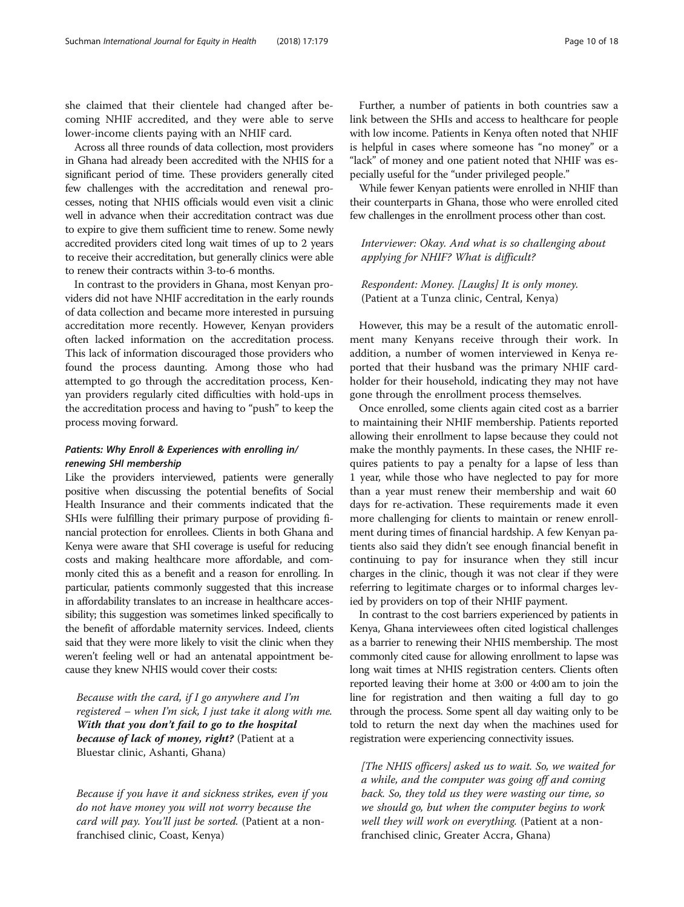she claimed that their clientele had changed after becoming NHIF accredited, and they were able to serve lower-income clients paying with an NHIF card.

Across all three rounds of data collection, most providers in Ghana had already been accredited with the NHIS for a significant period of time. These providers generally cited few challenges with the accreditation and renewal processes, noting that NHIS officials would even visit a clinic well in advance when their accreditation contract was due to expire to give them sufficient time to renew. Some newly accredited providers cited long wait times of up to 2 years to receive their accreditation, but generally clinics were able to renew their contracts within 3-to-6 months.

In contrast to the providers in Ghana, most Kenyan providers did not have NHIF accreditation in the early rounds of data collection and became more interested in pursuing accreditation more recently. However, Kenyan providers often lacked information on the accreditation process. This lack of information discouraged those providers who found the process daunting. Among those who had attempted to go through the accreditation process, Kenyan providers regularly cited difficulties with hold-ups in the accreditation process and having to "push" to keep the process moving forward.

### Patients: Why Enroll & Experiences with enrolling in/ renewing SHI membership

Like the providers interviewed, patients were generally positive when discussing the potential benefits of Social Health Insurance and their comments indicated that the SHIs were fulfilling their primary purpose of providing financial protection for enrollees. Clients in both Ghana and Kenya were aware that SHI coverage is useful for reducing costs and making healthcare more affordable, and commonly cited this as a benefit and a reason for enrolling. In particular, patients commonly suggested that this increase in affordability translates to an increase in healthcare accessibility; this suggestion was sometimes linked specifically to the benefit of affordable maternity services. Indeed, clients said that they were more likely to visit the clinic when they weren't feeling well or had an antenatal appointment because they knew NHIS would cover their costs:

Because with the card, if I go anywhere and I'm registered – when I'm sick, I just take it along with me. With that you don't fail to go to the hospital because of lack of money, right? (Patient at a Bluestar clinic, Ashanti, Ghana)

Because if you have it and sickness strikes, even if you do not have money you will not worry because the card will pay. You'll just be sorted. (Patient at a nonfranchised clinic, Coast, Kenya)

pecially useful for the "under privileged people." While fewer Kenyan patients were enrolled in NHIF than their counterparts in Ghana, those who were enrolled cited few challenges in the enrollment process other than cost.

### Interviewer: Okay. And what is so challenging about applying for NHIF? What is difficult?

Respondent: Money. [Laughs] It is only money. (Patient at a Tunza clinic, Central, Kenya)

However, this may be a result of the automatic enrollment many Kenyans receive through their work. In addition, a number of women interviewed in Kenya reported that their husband was the primary NHIF cardholder for their household, indicating they may not have gone through the enrollment process themselves.

Once enrolled, some clients again cited cost as a barrier to maintaining their NHIF membership. Patients reported allowing their enrollment to lapse because they could not make the monthly payments. In these cases, the NHIF requires patients to pay a penalty for a lapse of less than 1 year, while those who have neglected to pay for more than a year must renew their membership and wait 60 days for re-activation. These requirements made it even more challenging for clients to maintain or renew enrollment during times of financial hardship. A few Kenyan patients also said they didn't see enough financial benefit in continuing to pay for insurance when they still incur charges in the clinic, though it was not clear if they were referring to legitimate charges or to informal charges levied by providers on top of their NHIF payment.

In contrast to the cost barriers experienced by patients in Kenya, Ghana interviewees often cited logistical challenges as a barrier to renewing their NHIS membership. The most commonly cited cause for allowing enrollment to lapse was long wait times at NHIS registration centers. Clients often reported leaving their home at 3:00 or 4:00 am to join the line for registration and then waiting a full day to go through the process. Some spent all day waiting only to be told to return the next day when the machines used for registration were experiencing connectivity issues.

[The NHIS officers] asked us to wait. So, we waited for a while, and the computer was going off and coming back. So, they told us they were wasting our time, so we should go, but when the computer begins to work well they will work on everything. (Patient at a nonfranchised clinic, Greater Accra, Ghana)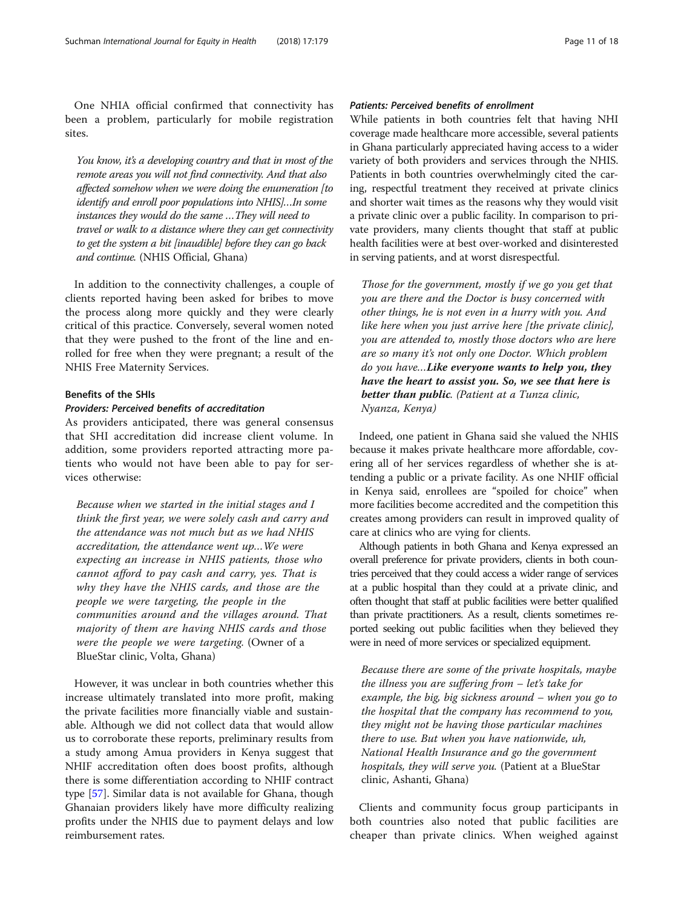One NHIA official confirmed that connectivity has been a problem, particularly for mobile registration sites.

You know, it's a developing country and that in most of the remote areas you will not find connectivity. And that also affected somehow when we were doing the enumeration [to identify and enroll poor populations into NHIS]…In some instances they would do the same …They will need to travel or walk to a distance where they can get connectivity to get the system a bit [inaudible] before they can go back and continue. (NHIS Official, Ghana)

In addition to the connectivity challenges, a couple of clients reported having been asked for bribes to move the process along more quickly and they were clearly critical of this practice. Conversely, several women noted that they were pushed to the front of the line and enrolled for free when they were pregnant; a result of the NHIS Free Maternity Services.

### Benefits of the SHIs

### Providers: Perceived benefits of accreditation

As providers anticipated, there was general consensus that SHI accreditation did increase client volume. In addition, some providers reported attracting more patients who would not have been able to pay for services otherwise:

Because when we started in the initial stages and I think the first year, we were solely cash and carry and the attendance was not much but as we had NHIS accreditation, the attendance went up…We were expecting an increase in NHIS patients, those who cannot afford to pay cash and carry, yes. That is why they have the NHIS cards, and those are the people we were targeting, the people in the communities around and the villages around. That majority of them are having NHIS cards and those were the people we were targeting. (Owner of a BlueStar clinic, Volta, Ghana)

However, it was unclear in both countries whether this increase ultimately translated into more profit, making the private facilities more financially viable and sustainable. Although we did not collect data that would allow us to corroborate these reports, preliminary results from a study among Amua providers in Kenya suggest that NHIF accreditation often does boost profits, although there is some differentiation according to NHIF contract type [\[57\]](#page-17-0). Similar data is not available for Ghana, though Ghanaian providers likely have more difficulty realizing profits under the NHIS due to payment delays and low reimbursement rates.

### Patients: Perceived benefits of enrollment

While patients in both countries felt that having NHI coverage made healthcare more accessible, several patients in Ghana particularly appreciated having access to a wider variety of both providers and services through the NHIS. Patients in both countries overwhelmingly cited the caring, respectful treatment they received at private clinics and shorter wait times as the reasons why they would visit a private clinic over a public facility. In comparison to private providers, many clients thought that staff at public health facilities were at best over-worked and disinterested in serving patients, and at worst disrespectful.

Those for the government, mostly if we go you get that you are there and the Doctor is busy concerned with other things, he is not even in a hurry with you. And like here when you just arrive here [the private clinic], you are attended to, mostly those doctors who are here are so many it's not only one Doctor. Which problem do you have…Like everyone wants to help you, they have the heart to assist you. So, we see that here is better than public. (Patient at a Tunza clinic, Nyanza, Kenya)

Indeed, one patient in Ghana said she valued the NHIS because it makes private healthcare more affordable, covering all of her services regardless of whether she is attending a public or a private facility. As one NHIF official in Kenya said, enrollees are "spoiled for choice" when more facilities become accredited and the competition this creates among providers can result in improved quality of care at clinics who are vying for clients.

Although patients in both Ghana and Kenya expressed an overall preference for private providers, clients in both countries perceived that they could access a wider range of services at a public hospital than they could at a private clinic, and often thought that staff at public facilities were better qualified than private practitioners. As a result, clients sometimes reported seeking out public facilities when they believed they were in need of more services or specialized equipment.

Because there are some of the private hospitals, maybe the illness you are suffering from – let's take for example, the big, big sickness around – when you go to the hospital that the company has recommend to you, they might not be having those particular machines there to use. But when you have nationwide, uh, National Health Insurance and go the government hospitals, they will serve you. (Patient at a BlueStar clinic, Ashanti, Ghana)

Clients and community focus group participants in both countries also noted that public facilities are cheaper than private clinics. When weighed against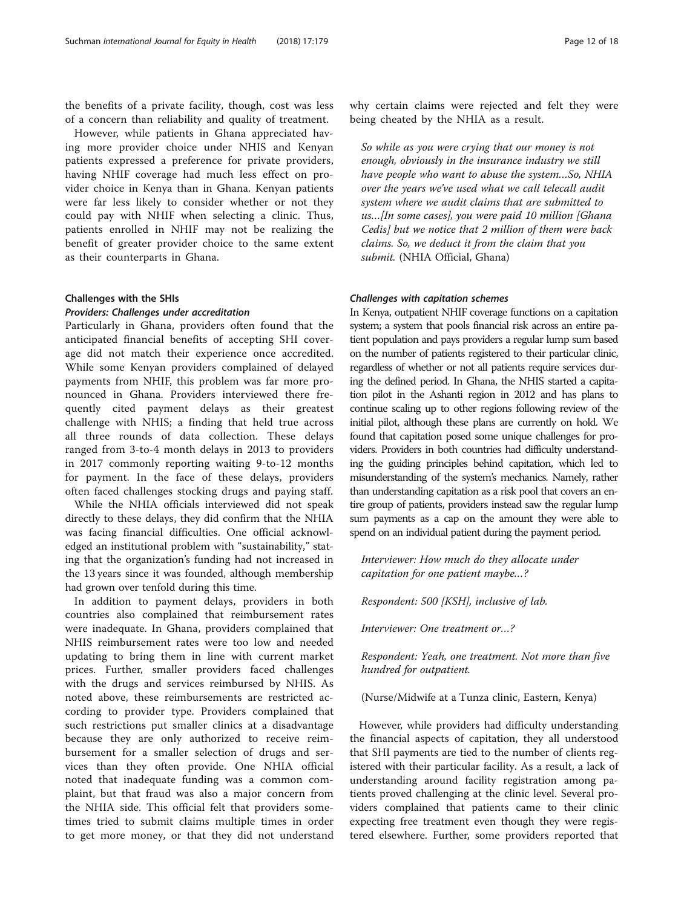the benefits of a private facility, though, cost was less of a concern than reliability and quality of treatment.

However, while patients in Ghana appreciated having more provider choice under NHIS and Kenyan patients expressed a preference for private providers, having NHIF coverage had much less effect on provider choice in Kenya than in Ghana. Kenyan patients were far less likely to consider whether or not they could pay with NHIF when selecting a clinic. Thus, patients enrolled in NHIF may not be realizing the benefit of greater provider choice to the same extent as their counterparts in Ghana.

## Challenges with the SHIs

### Providers: Challenges under accreditation

Particularly in Ghana, providers often found that the anticipated financial benefits of accepting SHI coverage did not match their experience once accredited. While some Kenyan providers complained of delayed payments from NHIF, this problem was far more pronounced in Ghana. Providers interviewed there frequently cited payment delays as their greatest challenge with NHIS; a finding that held true across all three rounds of data collection. These delays ranged from 3-to-4 month delays in 2013 to providers in 2017 commonly reporting waiting 9-to-12 months for payment. In the face of these delays, providers often faced challenges stocking drugs and paying staff.

While the NHIA officials interviewed did not speak directly to these delays, they did confirm that the NHIA was facing financial difficulties. One official acknowledged an institutional problem with "sustainability," stating that the organization's funding had not increased in the 13 years since it was founded, although membership had grown over tenfold during this time.

In addition to payment delays, providers in both countries also complained that reimbursement rates were inadequate. In Ghana, providers complained that NHIS reimbursement rates were too low and needed updating to bring them in line with current market prices. Further, smaller providers faced challenges with the drugs and services reimbursed by NHIS. As noted above, these reimbursements are restricted according to provider type. Providers complained that such restrictions put smaller clinics at a disadvantage because they are only authorized to receive reimbursement for a smaller selection of drugs and services than they often provide. One NHIA official noted that inadequate funding was a common complaint, but that fraud was also a major concern from the NHIA side. This official felt that providers sometimes tried to submit claims multiple times in order to get more money, or that they did not understand

why certain claims were rejected and felt they were being cheated by the NHIA as a result.

So while as you were crying that our money is not enough, obviously in the insurance industry we still have people who want to abuse the system…So, NHIA over the years we've used what we call telecall audit system where we audit claims that are submitted to us…[In some cases], you were paid 10 million [Ghana Cedis] but we notice that 2 million of them were back claims. So, we deduct it from the claim that you submit. (NHIA Official, Ghana)

### Challenges with capitation schemes

In Kenya, outpatient NHIF coverage functions on a capitation system; a system that pools financial risk across an entire patient population and pays providers a regular lump sum based on the number of patients registered to their particular clinic, regardless of whether or not all patients require services during the defined period. In Ghana, the NHIS started a capitation pilot in the Ashanti region in 2012 and has plans to continue scaling up to other regions following review of the initial pilot, although these plans are currently on hold. We found that capitation posed some unique challenges for providers. Providers in both countries had difficulty understanding the guiding principles behind capitation, which led to misunderstanding of the system's mechanics. Namely, rather than understanding capitation as a risk pool that covers an entire group of patients, providers instead saw the regular lump sum payments as a cap on the amount they were able to spend on an individual patient during the payment period.

Interviewer: How much do they allocate under capitation for one patient maybe…?

Respondent: 500 [KSH], inclusive of lab.

Interviewer: One treatment or…?

Respondent: Yeah, one treatment. Not more than five hundred for outpatient.

(Nurse/Midwife at a Tunza clinic, Eastern, Kenya)

However, while providers had difficulty understanding the financial aspects of capitation, they all understood that SHI payments are tied to the number of clients registered with their particular facility. As a result, a lack of understanding around facility registration among patients proved challenging at the clinic level. Several providers complained that patients came to their clinic expecting free treatment even though they were registered elsewhere. Further, some providers reported that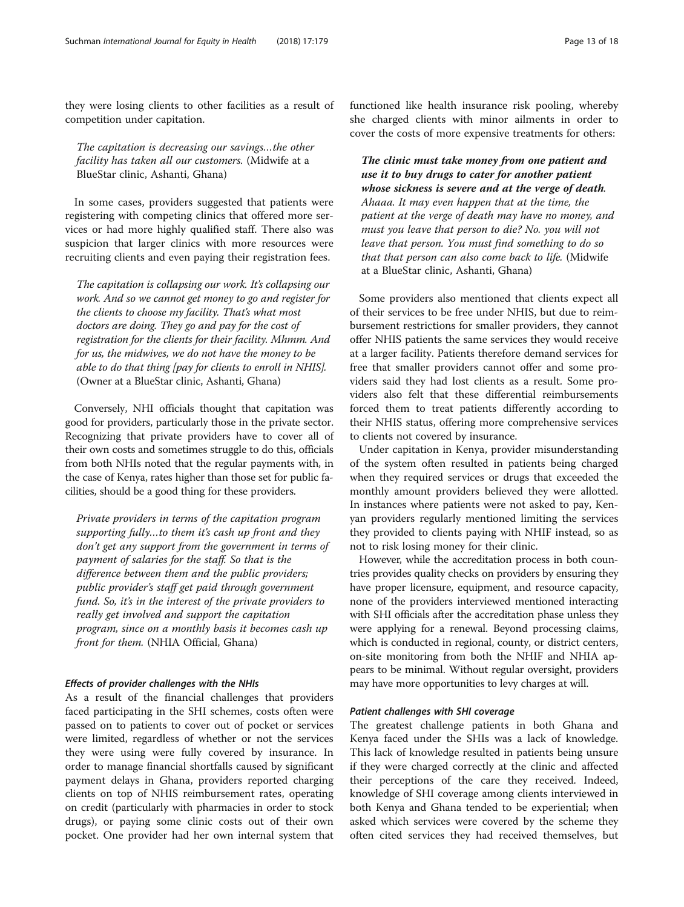they were losing clients to other facilities as a result of competition under capitation.

The capitation is decreasing our savings…the other facility has taken all our customers. (Midwife at a BlueStar clinic, Ashanti, Ghana)

In some cases, providers suggested that patients were registering with competing clinics that offered more services or had more highly qualified staff. There also was suspicion that larger clinics with more resources were recruiting clients and even paying their registration fees.

The capitation is collapsing our work. It's collapsing our work. And so we cannot get money to go and register for the clients to choose my facility. That's what most doctors are doing. They go and pay for the cost of registration for the clients for their facility. Mhmm. And for us, the midwives, we do not have the money to be able to do that thing [pay for clients to enroll in NHIS]. (Owner at a BlueStar clinic, Ashanti, Ghana)

Conversely, NHI officials thought that capitation was good for providers, particularly those in the private sector. Recognizing that private providers have to cover all of their own costs and sometimes struggle to do this, officials from both NHIs noted that the regular payments with, in the case of Kenya, rates higher than those set for public facilities, should be a good thing for these providers.

Private providers in terms of the capitation program supporting fully…to them it's cash up front and they don't get any support from the government in terms of payment of salaries for the staff. So that is the difference between them and the public providers; public provider's staff get paid through government fund. So, it's in the interest of the private providers to really get involved and support the capitation program, since on a monthly basis it becomes cash up front for them. (NHIA Official, Ghana)

### Effects of provider challenges with the NHIs

As a result of the financial challenges that providers faced participating in the SHI schemes, costs often were passed on to patients to cover out of pocket or services were limited, regardless of whether or not the services they were using were fully covered by insurance. In order to manage financial shortfalls caused by significant payment delays in Ghana, providers reported charging clients on top of NHIS reimbursement rates, operating on credit (particularly with pharmacies in order to stock drugs), or paying some clinic costs out of their own pocket. One provider had her own internal system that functioned like health insurance risk pooling, whereby she charged clients with minor ailments in order to cover the costs of more expensive treatments for others:

The clinic must take money from one patient and use it to buy drugs to cater for another patient whose sickness is severe and at the verge of death. Ahaaa. It may even happen that at the time, the patient at the verge of death may have no money, and must you leave that person to die? No. you will not leave that person. You must find something to do so that that person can also come back to life. (Midwife at a BlueStar clinic, Ashanti, Ghana)

Some providers also mentioned that clients expect all of their services to be free under NHIS, but due to reimbursement restrictions for smaller providers, they cannot offer NHIS patients the same services they would receive at a larger facility. Patients therefore demand services for free that smaller providers cannot offer and some providers said they had lost clients as a result. Some providers also felt that these differential reimbursements forced them to treat patients differently according to their NHIS status, offering more comprehensive services to clients not covered by insurance.

Under capitation in Kenya, provider misunderstanding of the system often resulted in patients being charged when they required services or drugs that exceeded the monthly amount providers believed they were allotted. In instances where patients were not asked to pay, Kenyan providers regularly mentioned limiting the services they provided to clients paying with NHIF instead, so as not to risk losing money for their clinic.

However, while the accreditation process in both countries provides quality checks on providers by ensuring they have proper licensure, equipment, and resource capacity, none of the providers interviewed mentioned interacting with SHI officials after the accreditation phase unless they were applying for a renewal. Beyond processing claims, which is conducted in regional, county, or district centers, on-site monitoring from both the NHIF and NHIA appears to be minimal. Without regular oversight, providers may have more opportunities to levy charges at will.

### Patient challenges with SHI coverage

The greatest challenge patients in both Ghana and Kenya faced under the SHIs was a lack of knowledge. This lack of knowledge resulted in patients being unsure if they were charged correctly at the clinic and affected their perceptions of the care they received. Indeed, knowledge of SHI coverage among clients interviewed in both Kenya and Ghana tended to be experiential; when asked which services were covered by the scheme they often cited services they had received themselves, but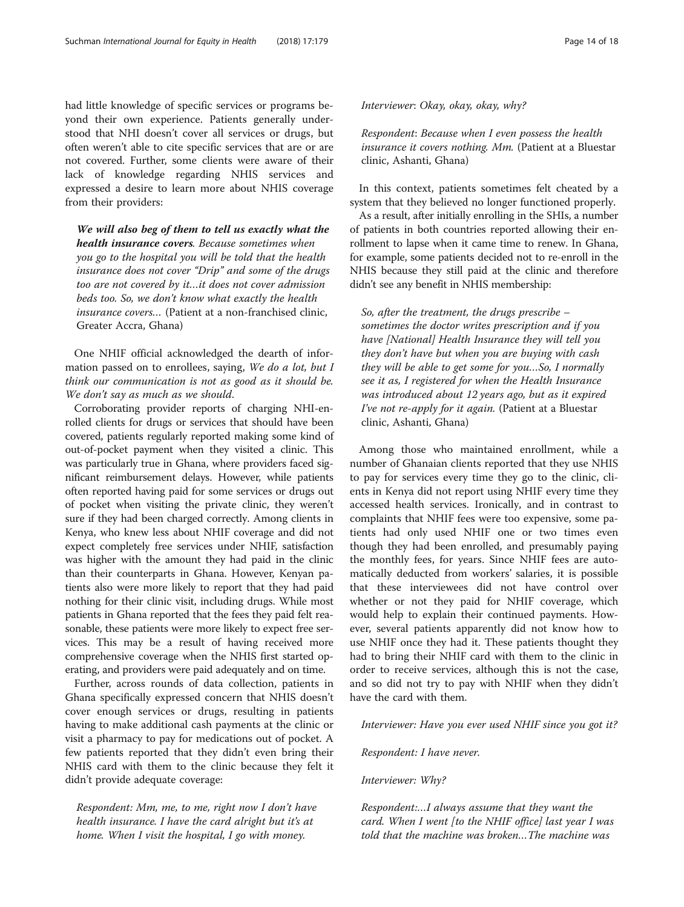had little knowledge of specific services or programs beyond their own experience. Patients generally understood that NHI doesn't cover all services or drugs, but often weren't able to cite specific services that are or are not covered. Further, some clients were aware of their lack of knowledge regarding NHIS services and expressed a desire to learn more about NHIS coverage from their providers:

We will also beg of them to tell us exactly what the health insurance covers. Because sometimes when you go to the hospital you will be told that the health insurance does not cover "Drip" and some of the drugs too are not covered by it…it does not cover admission beds too. So, we don't know what exactly the health insurance covers… (Patient at a non-franchised clinic, Greater Accra, Ghana)

One NHIF official acknowledged the dearth of information passed on to enrollees, saying, We do a lot, but I think our communication is not as good as it should be. We don't say as much as we should.

Corroborating provider reports of charging NHI-enrolled clients for drugs or services that should have been covered, patients regularly reported making some kind of out-of-pocket payment when they visited a clinic. This was particularly true in Ghana, where providers faced significant reimbursement delays. However, while patients often reported having paid for some services or drugs out of pocket when visiting the private clinic, they weren't sure if they had been charged correctly. Among clients in Kenya, who knew less about NHIF coverage and did not expect completely free services under NHIF, satisfaction was higher with the amount they had paid in the clinic than their counterparts in Ghana. However, Kenyan patients also were more likely to report that they had paid nothing for their clinic visit, including drugs. While most patients in Ghana reported that the fees they paid felt reasonable, these patients were more likely to expect free services. This may be a result of having received more comprehensive coverage when the NHIS first started operating, and providers were paid adequately and on time.

Further, across rounds of data collection, patients in Ghana specifically expressed concern that NHIS doesn't cover enough services or drugs, resulting in patients having to make additional cash payments at the clinic or visit a pharmacy to pay for medications out of pocket. A few patients reported that they didn't even bring their NHIS card with them to the clinic because they felt it didn't provide adequate coverage:

Respondent: Mm, me, to me, right now I don't have health insurance. I have the card alright but it's at home. When I visit the hospital, I go with money.

Interviewer: Okay, okay, okay, why?

Respondent: Because when I even possess the health insurance it covers nothing. Mm. (Patient at a Bluestar clinic, Ashanti, Ghana)

In this context, patients sometimes felt cheated by a system that they believed no longer functioned properly.

As a result, after initially enrolling in the SHIs, a number of patients in both countries reported allowing their enrollment to lapse when it came time to renew. In Ghana, for example, some patients decided not to re-enroll in the NHIS because they still paid at the clinic and therefore didn't see any benefit in NHIS membership:

So, after the treatment, the drugs prescribe – sometimes the doctor writes prescription and if you have [National] Health Insurance they will tell you they don't have but when you are buying with cash they will be able to get some for you…So, I normally see it as, I registered for when the Health Insurance was introduced about 12 years ago, but as it expired I've not re-apply for it again. (Patient at a Bluestar clinic, Ashanti, Ghana)

Among those who maintained enrollment, while a number of Ghanaian clients reported that they use NHIS to pay for services every time they go to the clinic, clients in Kenya did not report using NHIF every time they accessed health services. Ironically, and in contrast to complaints that NHIF fees were too expensive, some patients had only used NHIF one or two times even though they had been enrolled, and presumably paying the monthly fees, for years. Since NHIF fees are automatically deducted from workers' salaries, it is possible that these interviewees did not have control over whether or not they paid for NHIF coverage, which would help to explain their continued payments. However, several patients apparently did not know how to use NHIF once they had it. These patients thought they had to bring their NHIF card with them to the clinic in order to receive services, although this is not the case, and so did not try to pay with NHIF when they didn't have the card with them.

Interviewer: Have you ever used NHIF since you got it?

Respondent: I have never.

Interviewer: Why?

Respondent:…I always assume that they want the card. When I went [to the NHIF office] last year I was told that the machine was broken…The machine was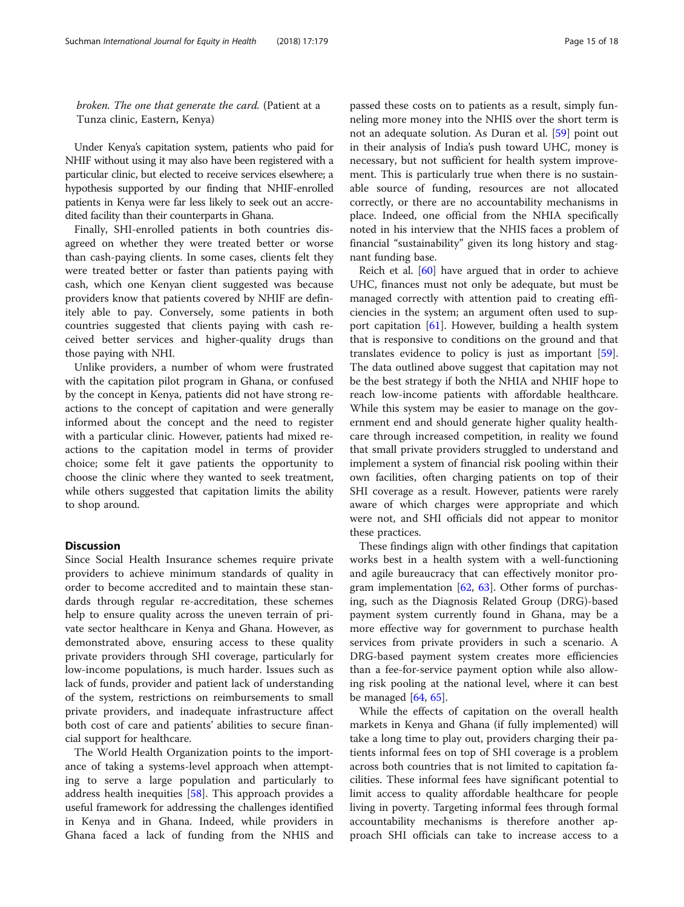broken. The one that generate the card. (Patient at a Tunza clinic, Eastern, Kenya)

Under Kenya's capitation system, patients who paid for NHIF without using it may also have been registered with a particular clinic, but elected to receive services elsewhere; a hypothesis supported by our finding that NHIF-enrolled patients in Kenya were far less likely to seek out an accredited facility than their counterparts in Ghana.

Finally, SHI-enrolled patients in both countries disagreed on whether they were treated better or worse than cash-paying clients. In some cases, clients felt they were treated better or faster than patients paying with cash, which one Kenyan client suggested was because providers know that patients covered by NHIF are definitely able to pay. Conversely, some patients in both countries suggested that clients paying with cash received better services and higher-quality drugs than those paying with NHI.

Unlike providers, a number of whom were frustrated with the capitation pilot program in Ghana, or confused by the concept in Kenya, patients did not have strong reactions to the concept of capitation and were generally informed about the concept and the need to register with a particular clinic. However, patients had mixed reactions to the capitation model in terms of provider choice; some felt it gave patients the opportunity to choose the clinic where they wanted to seek treatment, while others suggested that capitation limits the ability to shop around.

### **Discussion**

Since Social Health Insurance schemes require private providers to achieve minimum standards of quality in order to become accredited and to maintain these standards through regular re-accreditation, these schemes help to ensure quality across the uneven terrain of private sector healthcare in Kenya and Ghana. However, as demonstrated above, ensuring access to these quality private providers through SHI coverage, particularly for low-income populations, is much harder. Issues such as lack of funds, provider and patient lack of understanding of the system, restrictions on reimbursements to small private providers, and inadequate infrastructure affect both cost of care and patients' abilities to secure financial support for healthcare.

The World Health Organization points to the importance of taking a systems-level approach when attempting to serve a large population and particularly to address health inequities [[58\]](#page-17-0). This approach provides a useful framework for addressing the challenges identified in Kenya and in Ghana. Indeed, while providers in Ghana faced a lack of funding from the NHIS and

passed these costs on to patients as a result, simply funneling more money into the NHIS over the short term is not an adequate solution. As Duran et al. [[59\]](#page-17-0) point out in their analysis of India's push toward UHC, money is necessary, but not sufficient for health system improvement. This is particularly true when there is no sustainable source of funding, resources are not allocated correctly, or there are no accountability mechanisms in place. Indeed, one official from the NHIA specifically noted in his interview that the NHIS faces a problem of financial "sustainability" given its long history and stagnant funding base.

Reich et al. [\[60\]](#page-17-0) have argued that in order to achieve UHC, finances must not only be adequate, but must be managed correctly with attention paid to creating efficiencies in the system; an argument often used to support capitation [[61\]](#page-17-0). However, building a health system that is responsive to conditions on the ground and that translates evidence to policy is just as important [\[59](#page-17-0)]. The data outlined above suggest that capitation may not be the best strategy if both the NHIA and NHIF hope to reach low-income patients with affordable healthcare. While this system may be easier to manage on the government end and should generate higher quality healthcare through increased competition, in reality we found that small private providers struggled to understand and implement a system of financial risk pooling within their own facilities, often charging patients on top of their SHI coverage as a result. However, patients were rarely aware of which charges were appropriate and which were not, and SHI officials did not appear to monitor these practices.

These findings align with other findings that capitation works best in a health system with a well-functioning and agile bureaucracy that can effectively monitor program implementation [\[62,](#page-17-0) [63\]](#page-17-0). Other forms of purchasing, such as the Diagnosis Related Group (DRG)-based payment system currently found in Ghana, may be a more effective way for government to purchase health services from private providers in such a scenario. A DRG-based payment system creates more efficiencies than a fee-for-service payment option while also allowing risk pooling at the national level, where it can best be managed  $[64, 65]$  $[64, 65]$  $[64, 65]$  $[64, 65]$ .

While the effects of capitation on the overall health markets in Kenya and Ghana (if fully implemented) will take a long time to play out, providers charging their patients informal fees on top of SHI coverage is a problem across both countries that is not limited to capitation facilities. These informal fees have significant potential to limit access to quality affordable healthcare for people living in poverty. Targeting informal fees through formal accountability mechanisms is therefore another approach SHI officials can take to increase access to a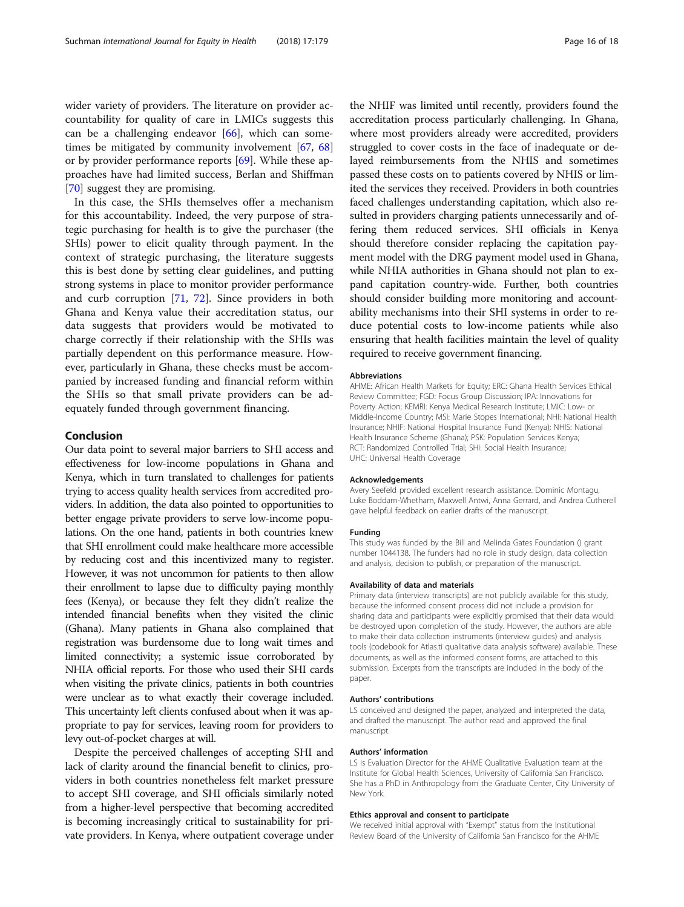wider variety of providers. The literature on provider accountability for quality of care in LMICs suggests this can be a challenging endeavor [[66](#page-17-0)], which can sometimes be mitigated by community involvement [\[67](#page-17-0), [68](#page-17-0)] or by provider performance reports [[69\]](#page-17-0). While these approaches have had limited success, Berlan and Shiffman [[70\]](#page-17-0) suggest they are promising.

In this case, the SHIs themselves offer a mechanism for this accountability. Indeed, the very purpose of strategic purchasing for health is to give the purchaser (the SHIs) power to elicit quality through payment. In the context of strategic purchasing, the literature suggests this is best done by setting clear guidelines, and putting strong systems in place to monitor provider performance and curb corruption [\[71,](#page-17-0) [72\]](#page-17-0). Since providers in both Ghana and Kenya value their accreditation status, our data suggests that providers would be motivated to charge correctly if their relationship with the SHIs was partially dependent on this performance measure. However, particularly in Ghana, these checks must be accompanied by increased funding and financial reform within the SHIs so that small private providers can be adequately funded through government financing.

#### Conclusion

Our data point to several major barriers to SHI access and effectiveness for low-income populations in Ghana and Kenya, which in turn translated to challenges for patients trying to access quality health services from accredited providers. In addition, the data also pointed to opportunities to better engage private providers to serve low-income populations. On the one hand, patients in both countries knew that SHI enrollment could make healthcare more accessible by reducing cost and this incentivized many to register. However, it was not uncommon for patients to then allow their enrollment to lapse due to difficulty paying monthly fees (Kenya), or because they felt they didn't realize the intended financial benefits when they visited the clinic (Ghana). Many patients in Ghana also complained that registration was burdensome due to long wait times and limited connectivity; a systemic issue corroborated by NHIA official reports. For those who used their SHI cards when visiting the private clinics, patients in both countries were unclear as to what exactly their coverage included. This uncertainty left clients confused about when it was appropriate to pay for services, leaving room for providers to levy out-of-pocket charges at will.

Despite the perceived challenges of accepting SHI and lack of clarity around the financial benefit to clinics, providers in both countries nonetheless felt market pressure to accept SHI coverage, and SHI officials similarly noted from a higher-level perspective that becoming accredited is becoming increasingly critical to sustainability for private providers. In Kenya, where outpatient coverage under the NHIF was limited until recently, providers found the accreditation process particularly challenging. In Ghana, where most providers already were accredited, providers struggled to cover costs in the face of inadequate or delayed reimbursements from the NHIS and sometimes passed these costs on to patients covered by NHIS or limited the services they received. Providers in both countries faced challenges understanding capitation, which also resulted in providers charging patients unnecessarily and offering them reduced services. SHI officials in Kenya should therefore consider replacing the capitation payment model with the DRG payment model used in Ghana, while NHIA authorities in Ghana should not plan to expand capitation country-wide. Further, both countries should consider building more monitoring and accountability mechanisms into their SHI systems in order to reduce potential costs to low-income patients while also ensuring that health facilities maintain the level of quality required to receive government financing.

#### Abbreviations

AHME: African Health Markets for Equity; ERC: Ghana Health Services Ethical Review Committee; FGD: Focus Group Discussion; IPA: Innovations for Poverty Action; KEMRI: Kenya Medical Research Institute; LMIC: Low- or Middle-Income Country; MSI: Marie Stopes International; NHI: National Health Insurance; NHIF: National Hospital Insurance Fund (Kenya); NHIS: National Health Insurance Scheme (Ghana); PSK: Population Services Kenya; RCT: Randomized Controlled Trial; SHI: Social Health Insurance; UHC: Universal Health Coverage

#### Acknowledgements

Avery Seefeld provided excellent research assistance. Dominic Montagu, Luke Boddam-Whetham, Maxwell Antwi, Anna Gerrard, and Andrea Cutherell gave helpful feedback on earlier drafts of the manuscript.

#### Funding

This study was funded by the Bill and Melinda Gates Foundation () grant number 1044138. The funders had no role in study design, data collection and analysis, decision to publish, or preparation of the manuscript.

#### Availability of data and materials

Primary data (interview transcripts) are not publicly available for this study, because the informed consent process did not include a provision for sharing data and participants were explicitly promised that their data would be destroyed upon completion of the study. However, the authors are able to make their data collection instruments (interview guides) and analysis tools (codebook for Atlas.ti qualitative data analysis software) available. These documents, as well as the informed consent forms, are attached to this submission. Excerpts from the transcripts are included in the body of the paper.

#### Authors' contributions

LS conceived and designed the paper, analyzed and interpreted the data, and drafted the manuscript. The author read and approved the final manuscript.

#### Authors' information

LS is Evaluation Director for the AHME Qualitative Evaluation team at the Institute for Global Health Sciences, University of California San Francisco. She has a PhD in Anthropology from the Graduate Center, City University of New York.

#### Ethics approval and consent to participate

We received initial approval with "Exempt" status from the Institutional Review Board of the University of California San Francisco for the AHME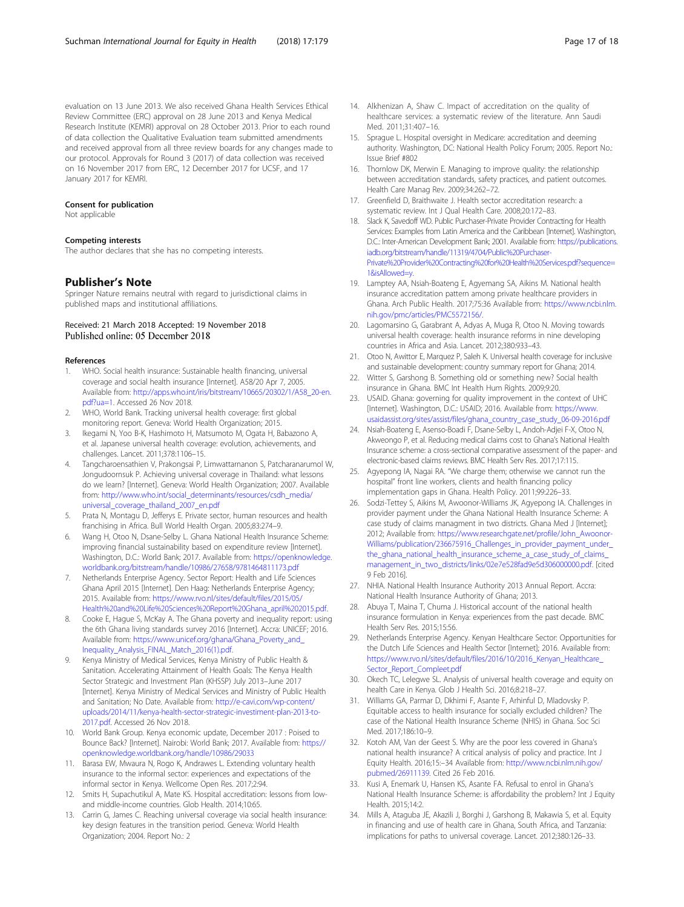<span id="page-16-0"></span>evaluation on 13 June 2013. We also received Ghana Health Services Ethical Review Committee (ERC) approval on 28 June 2013 and Kenya Medical Research Institute (KEMRI) approval on 28 October 2013. Prior to each round of data collection the Qualitative Evaluation team submitted amendments and received approval from all three review boards for any changes made to our protocol. Approvals for Round 3 (2017) of data collection was received on 16 November 2017 from ERC, 12 December 2017 for UCSF, and 17 January 2017 for KEMRI.

#### Consent for publication

Not applicable

#### Competing interests

The author declares that she has no competing interests.

#### Publisher's Note

Springer Nature remains neutral with regard to jurisdictional claims in published maps and institutional affiliations.

### Received: 21 March 2018 Accepted: 19 November 2018 Published online: 05 December 2018

#### References

- 1. WHO. Social health insurance: Sustainable health financing, universal coverage and social health insurance [Internet]. A58/20 Apr 7, 2005. Available from: [http://apps.who.int/iris/bitstream/10665/20302/1/A58\\_20-en.](http://apps.who.int/iris/bitstream/10665/20302/1/A58_20-en.pdf?ua=1) [pdf?ua=1](http://apps.who.int/iris/bitstream/10665/20302/1/A58_20-en.pdf?ua=1). Accessed 26 Nov 2018.
- 2. WHO, World Bank. Tracking universal health coverage: first global monitoring report. Geneva: World Health Organization; 2015.
- 3. Ikegami N, Yoo B-K, Hashimoto H, Matsumoto M, Ogata H, Babazono A, et al. Japanese universal health coverage: evolution, achievements, and challenges. Lancet. 2011;378:1106–15.
- 4. Tangcharoensathien V, Prakongsai P, Limwattarnanon S, Patcharanarumol W, Jongudoornsuk P. Achieving universal coverage in Thailand: what lessons do we learn? [Internet]. Geneva: World Health Organization; 2007. Available from: [http://www.who.int/social\\_determinants/resources/csdh\\_media/](http://www.who.int/social_determinants/resources/csdh_media/universal_coverage_thailand_2007_en.pdf) [universal\\_coverage\\_thailand\\_2007\\_en.pdf](http://www.who.int/social_determinants/resources/csdh_media/universal_coverage_thailand_2007_en.pdf)
- 5. Prata N, Montagu D, Jefferys E. Private sector, human resources and health franchising in Africa. Bull World Health Organ. 2005;83:274–9.
- 6. Wang H, Otoo N, Dsane-Selby L. Ghana National Health Insurance Scheme: improving financial sustainability based on expenditure review [Internet]. Washington, D.C.: World Bank; 2017. Available from: [https://openknowledge.](https://openknowledge.worldbank.org/bitstream/handle/10986/27658/9781464811173.pdf) [worldbank.org/bitstream/handle/10986/27658/9781464811173.pdf](https://openknowledge.worldbank.org/bitstream/handle/10986/27658/9781464811173.pdf)
- 7. Netherlands Enterprise Agency. Sector Report: Health and Life Sciences Ghana April 2015 [Internet]. Den Haag: Netherlands Enterprise Agency; 2015. Available from: [https://www.rvo.nl/sites/default/files/2015/05/](https://www.rvo.nl/sites/default/files/2015/05/Health%20and%20Life%20Sciences%20Report%20Ghana_april%202015.pdf) [Health%20and%20Life%20Sciences%20Report%20Ghana\\_april%202015.pdf](https://www.rvo.nl/sites/default/files/2015/05/Health%20and%20Life%20Sciences%20Report%20Ghana_april%202015.pdf).
- 8. Cooke E, Hague S, McKay A. The Ghana poverty and inequality report: using the 6th Ghana living standards survey 2016 [Internet]. Accra: UNICEF; 2016. Available from: [https://www.unicef.org/ghana/Ghana\\_Poverty\\_and\\_](https://www.unicef.org/ghana/Ghana_Poverty_and_Inequality_Analysis_FINAL_Match_2016(1).pdf) [Inequality\\_Analysis\\_FINAL\\_Match\\_2016\(1\).pdf.](https://www.unicef.org/ghana/Ghana_Poverty_and_Inequality_Analysis_FINAL_Match_2016(1).pdf)
- 9. Kenya Ministry of Medical Services, Kenya Ministry of Public Health & Sanitation. Accelerating Attainment of Health Goals: The Kenya Health Sector Strategic and Investment Plan (KHSSP) July 2013–June 2017 [Internet]. Kenya Ministry of Medical Services and Ministry of Public Health and Sanitation; No Date. Available from: [http://e-cavi.com/wp-content/](http://e-cavi.com/wp-content/uploads/2014/11/kenya-health-sector-strategic-investiment-plan-2013-to-2017.pdf) [uploads/2014/11/kenya-health-sector-strategic-investiment-plan-2013-to-](http://e-cavi.com/wp-content/uploads/2014/11/kenya-health-sector-strategic-investiment-plan-2013-to-2017.pdf)[2017.pdf](http://e-cavi.com/wp-content/uploads/2014/11/kenya-health-sector-strategic-investiment-plan-2013-to-2017.pdf). Accessed 26 Nov 2018.
- 10. World Bank Group. Kenya economic update, December 2017 : Poised to Bounce Back? [Internet]. Nairobi: World Bank; 2017. Available from: [https://](https://openknowledge.worldbank.org/handle/10986/29033) [openknowledge.worldbank.org/handle/10986/29033](https://openknowledge.worldbank.org/handle/10986/29033)
- 11. Barasa EW, Mwaura N, Rogo K, Andrawes L. Extending voluntary health insurance to the informal sector: experiences and expectations of the informal sector in Kenya. Wellcome Open Res. 2017;2:94.
- 12. Smits H, Supachutikul A, Mate KS. Hospital accreditation: lessons from lowand middle-income countries. Glob Health. 2014;10:65.
- 13. Carrin G, James C. Reaching universal coverage via social health insurance: key design features in the transition period. Geneva: World Health Organization; 2004. Report No.: 2
- 14. Alkhenizan A, Shaw C. Impact of accreditation on the quality of healthcare services: a systematic review of the literature. Ann Saudi Med. 2011;31:407–16.
- 15. Sprague L. Hospital oversight in Medicare: accreditation and deeming authority. Washington, DC: National Health Policy Forum; 2005. Report No.: Issue Brief #802
- 16. Thornlow DK, Merwin E. Managing to improve quality: the relationship between accreditation standards, safety practices, and patient outcomes. Health Care Manag Rev. 2009;34:262–72.
- 17. Greenfield D, Braithwaite J. Health sector accreditation research: a systematic review. Int J Qual Health Care. 2008;20:172–83.
- 18. Slack K, Savedoff WD. Public Purchaser-Private Provider Contracting for Health Services: Examples from Latin America and the Caribbean [Internet]. Washington, D.C.: Inter-American Development Bank; 2001. Available from: [https://publications.](https://publications.iadb.org/bitstream/handle/11319/4704/Public%20Purchaser-Private%20Provider%20Contracting%20for%20Health%20Services.pdf?sequence=1&isAllowed=y) [iadb.org/bitstream/handle/11319/4704/Public%20Purchaser-](https://publications.iadb.org/bitstream/handle/11319/4704/Public%20Purchaser-Private%20Provider%20Contracting%20for%20Health%20Services.pdf?sequence=1&isAllowed=y)[Private%20Provider%20Contracting%20for%20Health%20Services.pdf?sequence=](https://publications.iadb.org/bitstream/handle/11319/4704/Public%20Purchaser-Private%20Provider%20Contracting%20for%20Health%20Services.pdf?sequence=1&isAllowed=y) [1&isAllowed=y](https://publications.iadb.org/bitstream/handle/11319/4704/Public%20Purchaser-Private%20Provider%20Contracting%20for%20Health%20Services.pdf?sequence=1&isAllowed=y).
- 19. Lamptey AA, Nsiah-Boateng E, Agyemang SA, Aikins M. National health insurance accreditation pattern among private healthcare providers in Ghana. Arch Public Health. 2017;75:36 Available from: [https://www.ncbi.nlm.](https://www.ncbi.nlm.nih.gov/pmc/articles/PMC5572156/) [nih.gov/pmc/articles/PMC5572156/.](https://www.ncbi.nlm.nih.gov/pmc/articles/PMC5572156/)
- 20. Lagomarsino G, Garabrant A, Adyas A, Muga R, Otoo N. Moving towards universal health coverage: health insurance reforms in nine developing countries in Africa and Asia. Lancet. 2012;380:933–43.
- 21. Otoo N, Awittor E, Marquez P, Saleh K. Universal health coverage for inclusive and sustainable development: country summary report for Ghana; 2014.
- 22. Witter S, Garshong B. Something old or something new? Social health insurance in Ghana. BMC Int Health Hum Rights. 2009;9:20.
- 23. USAID. Ghana: governing for quality improvement in the context of UHC [Internet]. Washington, D.C.: USAID; 2016. Available from: [https://www.](https://www.usaidassist.org/sites/assist/files/ghana_country_case_study_06-09-2016.pdf) [usaidassist.org/sites/assist/files/ghana\\_country\\_case\\_study\\_06-09-2016.pdf](https://www.usaidassist.org/sites/assist/files/ghana_country_case_study_06-09-2016.pdf)
- 24. Nsiah-Boateng E, Asenso-Boadi F, Dsane-Selby L, Andoh-Adjei F-X, Otoo N, Akweongo P, et al. Reducing medical claims cost to Ghana's National Health Insurance scheme: a cross-sectional comparative assessment of the paper- and electronic-based claims reviews. BMC Health Serv Res. 2017;17:115.
- 25. Agyepong IA, Nagai RA. "We charge them; otherwise we cannot run the hospital" front line workers, clients and health financing policy implementation gaps in Ghana. Health Policy. 2011;99:226–33.
- 26. Sodzi-Tettey S, Aikins M, Awoonor-Williams JK, Agyepong IA. Challenges in provider payment under the Ghana National Health Insurance Scheme: A case study of claims managment in two districts. Ghana Med J [Internet]; 2012; Available from: [https://www.researchgate.net/profile/John\\_Awoonor-](https://www.researchgate.net/profile/John_Awoonor-Williams/publication/236675916_Challenges_in_provider_payment_under_the_ghana_national_health_insurance_scheme_a_case_study_of_claims_management_in_two_districts/links/02e7e528fad9e5d306000000.pdf)[Williams/publication/236675916\\_Challenges\\_in\\_provider\\_payment\\_under\\_](https://www.researchgate.net/profile/John_Awoonor-Williams/publication/236675916_Challenges_in_provider_payment_under_the_ghana_national_health_insurance_scheme_a_case_study_of_claims_management_in_two_districts/links/02e7e528fad9e5d306000000.pdf) the\_ghana\_national\_health\_insurance\_scheme\_a\_case\_study\_of\_claims [management\\_in\\_two\\_districts/links/02e7e528fad9e5d306000000.pdf.](https://www.researchgate.net/profile/John_Awoonor-Williams/publication/236675916_Challenges_in_provider_payment_under_the_ghana_national_health_insurance_scheme_a_case_study_of_claims_management_in_two_districts/links/02e7e528fad9e5d306000000.pdf) [cited 9 Feb 2016].
- 27. NHIA. National Health Insurance Authority 2013 Annual Report. Accra: National Health Insurance Authority of Ghana; 2013.
- 28. Abuya T, Maina T, Chuma J. Historical account of the national health insurance formulation in Kenya: experiences from the past decade. BMC Health Serv Res. 2015;15:56.
- 29. Netherlands Enterprise Agency. Kenyan Healthcare Sector: Opportunities for the Dutch Life Sciences and Health Sector [Internet]; 2016. Available from: [https://www.rvo.nl/sites/default/files/2016/10/2016\\_Kenyan\\_Healthcare\\_](https://www.rvo.nl/sites/default/files/2016/10/2016_Kenyan_Healthcare_Sector_Report_Compleet.pdf) [Sector\\_Report\\_Compleet.pdf](https://www.rvo.nl/sites/default/files/2016/10/2016_Kenyan_Healthcare_Sector_Report_Compleet.pdf)
- 30. Okech TC, Lelegwe SL. Analysis of universal health coverage and equity on health Care in Kenya. Glob J Health Sci. 2016;8:218–27.
- 31. Williams GA, Parmar D, Dkhimi F, Asante F, Arhinful D, Mladovsky P. Equitable access to health insurance for socially excluded children? The case of the National Health Insurance Scheme (NHIS) in Ghana. Soc Sci Med. 2017;186:10–9.
- 32. Kotoh AM, Van der Geest S. Why are the poor less covered in Ghana's national health insurance? A critical analysis of policy and practice. Int J Equity Health. 2016;15:–34 Available from: [http://www.ncbi.nlm.nih.gov/](http://www.ncbi.nlm.nih.gov/pubmed/26911139) [pubmed/26911139.](http://www.ncbi.nlm.nih.gov/pubmed/26911139) Cited 26 Feb 2016.
- 33. Kusi A, Enemark U, Hansen KS, Asante FA. Refusal to enrol in Ghana's National Health Insurance Scheme: is affordability the problem? Int J Equity Health. 2015;14:2.
- 34. Mills A, Ataguba JE, Akazili J, Borghi J, Garshong B, Makawia S, et al. Equity in financing and use of health care in Ghana, South Africa, and Tanzania: implications for paths to universal coverage. Lancet. 2012;380:126–33.